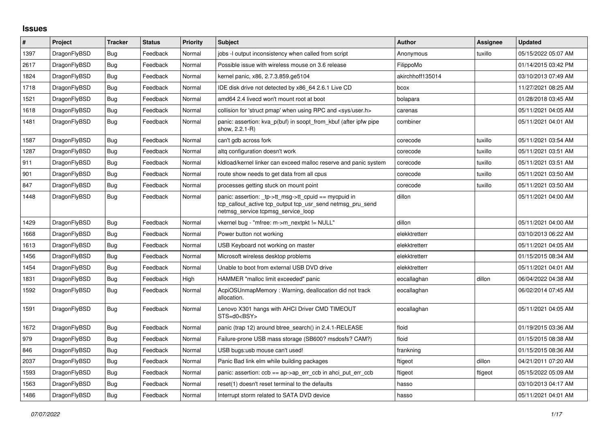## **Issues**

| #    | Project      | Tracker    | <b>Status</b> | Priority | <b>Subject</b>                                                                                                                                           | <b>Author</b>    | Assignee | <b>Updated</b>      |
|------|--------------|------------|---------------|----------|----------------------------------------------------------------------------------------------------------------------------------------------------------|------------------|----------|---------------------|
| 1397 | DragonFlyBSD | Bug        | Feedback      | Normal   | jobs -I output inconsistency when called from script                                                                                                     | Anonymous        | tuxillo  | 05/15/2022 05:07 AM |
| 2617 | DragonFlyBSD | <b>Bug</b> | Feedback      | Normal   | Possible issue with wireless mouse on 3.6 release                                                                                                        | FilippoMo        |          | 01/14/2015 03:42 PM |
| 1824 | DragonFlyBSD | <b>Bug</b> | Feedback      | Normal   | kernel panic, x86, 2.7.3.859.ge5104                                                                                                                      | akirchhoff135014 |          | 03/10/2013 07:49 AM |
| 1718 | DragonFlyBSD | <b>Bug</b> | Feedback      | Normal   | IDE disk drive not detected by x86 64 2.6.1 Live CD                                                                                                      | bcox             |          | 11/27/2021 08:25 AM |
| 1521 | DragonFlyBSD | <b>Bug</b> | Feedback      | Normal   | amd64 2.4 livecd won't mount root at boot                                                                                                                | bolapara         |          | 01/28/2018 03:45 AM |
| 1618 | DragonFlyBSD | Bug        | Feedback      | Normal   | collision for 'struct pmap' when using RPC and <sys user.h=""></sys>                                                                                     | carenas          |          | 05/11/2021 04:05 AM |
| 1481 | DragonFlyBSD | <b>Bug</b> | Feedback      | Normal   | panic: assertion: kva_p(buf) in soopt_from_kbuf (after ipfw pipe<br>show, 2.2.1-R)                                                                       | combiner         |          | 05/11/2021 04:01 AM |
| 1587 | DragonFlyBSD | <b>Bug</b> | Feedback      | Normal   | can't gdb across fork                                                                                                                                    | corecode         | tuxillo  | 05/11/2021 03:54 AM |
| 1287 | DragonFlyBSD | Bug        | Feedback      | Normal   | altg configuration doesn't work                                                                                                                          | corecode         | tuxillo  | 05/11/2021 03:51 AM |
| 911  | DragonFlyBSD | Bug        | Feedback      | Normal   | kldload/kernel linker can exceed malloc reserve and panic system                                                                                         | corecode         | tuxillo  | 05/11/2021 03:51 AM |
| 901  | DragonFlyBSD | Bug        | Feedback      | Normal   | route show needs to get data from all cpus                                                                                                               | corecode         | tuxillo  | 05/11/2021 03:50 AM |
| 847  | DragonFlyBSD | Bug        | Feedback      | Normal   | processes getting stuck on mount point                                                                                                                   | corecode         | tuxillo  | 05/11/2021 03:50 AM |
| 1448 | DragonFlyBSD | <b>Bug</b> | Feedback      | Normal   | panic: assertion: tp->tt msg->tt cpuid == mycpuid in<br>tcp callout active tcp output tcp usr send netmsg pru send<br>netmsg_service tcpmsg_service_loop | dillon           |          | 05/11/2021 04:00 AM |
| 1429 | DragonFlyBSD | <b>Bug</b> | Feedback      | Normal   | vkernel bug - "mfree: m->m_nextpkt != NULL"                                                                                                              | dillon           |          | 05/11/2021 04:00 AM |
| 1668 | DragonFlyBSD | <b>Bug</b> | Feedback      | Normal   | Power button not working                                                                                                                                 | elekktretterr    |          | 03/10/2013 06:22 AM |
| 1613 | DragonFlyBSD | Bug        | Feedback      | Normal   | USB Keyboard not working on master                                                                                                                       | elekktretterr    |          | 05/11/2021 04:05 AM |
| 1456 | DragonFlyBSD | Bug        | Feedback      | Normal   | Microsoft wireless desktop problems                                                                                                                      | elekktretterr    |          | 01/15/2015 08:34 AM |
| 1454 | DragonFlyBSD | <b>Bug</b> | Feedback      | Normal   | Unable to boot from external USB DVD drive                                                                                                               | elekktretterr    |          | 05/11/2021 04:01 AM |
| 1831 | DragonFlyBSD | <b>Bug</b> | Feedback      | High     | HAMMER "malloc limit exceeded" panic                                                                                                                     | eocallaghan      | dillon   | 06/04/2022 04:38 AM |
| 1592 | DragonFlyBSD | <b>Bug</b> | Feedback      | Normal   | AcpiOSUnmapMemory: Warning, deallocation did not track<br>allocation.                                                                                    | eocallaghan      |          | 06/02/2014 07:45 AM |
| 1591 | DragonFlyBSD | <b>Bug</b> | Feedback      | Normal   | Lenovo X301 hangs with AHCI Driver CMD TIMEOUT<br>$STS=d0<BSY>$                                                                                          | eocallaghan      |          | 05/11/2021 04:05 AM |
| 1672 | DragonFlyBSD | <b>Bug</b> | Feedback      | Normal   | panic (trap 12) around btree_search() in 2.4.1-RELEASE                                                                                                   | floid            |          | 01/19/2015 03:36 AM |
| 979  | DragonFlyBSD | <b>Bug</b> | Feedback      | Normal   | Failure-prone USB mass storage (SB600? msdosfs? CAM?)                                                                                                    | floid            |          | 01/15/2015 08:38 AM |
| 846  | DragonFlyBSD | <b>Bug</b> | Feedback      | Normal   | USB bugs:usb mouse can't used!                                                                                                                           | frankning        |          | 01/15/2015 08:36 AM |
| 2037 | DragonFlyBSD | <b>Bug</b> | Feedback      | Normal   | Panic Bad link elm while building packages                                                                                                               | ftigeot          | dillon   | 04/21/2011 07:20 AM |
| 1593 | DragonFlyBSD | Bug        | Feedback      | Normal   | panic: assertion: $ccb == ap \rightarrow ap$ err $ccb$ in ahci put err $ccb$                                                                             | ftigeot          | ftigeot  | 05/15/2022 05:09 AM |
| 1563 | DragonFlyBSD | <b>Bug</b> | Feedback      | Normal   | reset(1) doesn't reset terminal to the defaults                                                                                                          | hasso            |          | 03/10/2013 04:17 AM |
| 1486 | DragonFlyBSD | Bug        | Feedback      | Normal   | Interrupt storm related to SATA DVD device                                                                                                               | hasso            |          | 05/11/2021 04:01 AM |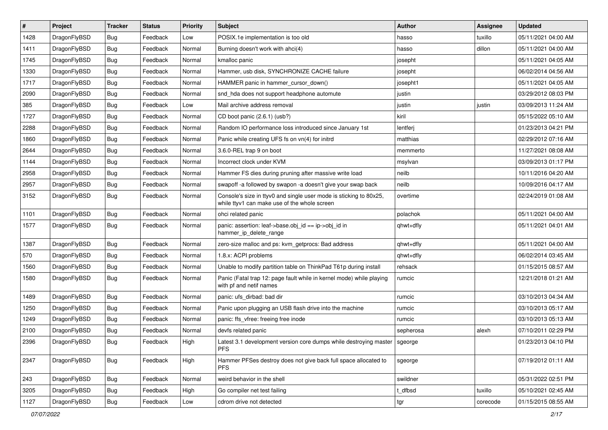| $\vert$ # | Project      | <b>Tracker</b> | <b>Status</b> | <b>Priority</b> | <b>Subject</b>                                                                                                     | <b>Author</b> | <b>Assignee</b> | <b>Updated</b>      |
|-----------|--------------|----------------|---------------|-----------------|--------------------------------------------------------------------------------------------------------------------|---------------|-----------------|---------------------|
| 1428      | DragonFlyBSD | <b>Bug</b>     | Feedback      | Low             | POSIX.1e implementation is too old                                                                                 | hasso         | tuxillo         | 05/11/2021 04:00 AM |
| 1411      | DragonFlyBSD | Bug            | Feedback      | Normal          | Burning doesn't work with ahci(4)                                                                                  | hasso         | dillon          | 05/11/2021 04:00 AM |
| 1745      | DragonFlyBSD | <b>Bug</b>     | Feedback      | Normal          | kmalloc panic                                                                                                      | josepht       |                 | 05/11/2021 04:05 AM |
| 1330      | DragonFlyBSD | Bug            | Feedback      | Normal          | Hammer, usb disk, SYNCHRONIZE CACHE failure                                                                        | josepht       |                 | 06/02/2014 04:56 AM |
| 1717      | DragonFlyBSD | <b>Bug</b>     | Feedback      | Normal          | HAMMER panic in hammer_cursor_down()                                                                               | josepht1      |                 | 05/11/2021 04:05 AM |
| 2090      | DragonFlyBSD | <b>Bug</b>     | Feedback      | Normal          | snd_hda does not support headphone automute                                                                        | justin        |                 | 03/29/2012 08:03 PM |
| 385       | DragonFlyBSD | Bug            | Feedback      | Low             | Mail archive address removal                                                                                       | justin        | justin          | 03/09/2013 11:24 AM |
| 1727      | DragonFlyBSD | <b>Bug</b>     | Feedback      | Normal          | CD boot panic (2.6.1) (usb?)                                                                                       | kiril         |                 | 05/15/2022 05:10 AM |
| 2288      | DragonFlyBSD | <b>Bug</b>     | Feedback      | Normal          | Random IO performance loss introduced since January 1st                                                            | lentferj      |                 | 01/23/2013 04:21 PM |
| 1860      | DragonFlyBSD | Bug            | Feedback      | Normal          | Panic while creating UFS fs on vn(4) for initrd                                                                    | matthias      |                 | 02/29/2012 07:16 AM |
| 2644      | DragonFlyBSD | Bug            | Feedback      | Normal          | 3.6.0-REL trap 9 on boot                                                                                           | memmerto      |                 | 11/27/2021 08:08 AM |
| 1144      | DragonFlyBSD | Bug            | Feedback      | Normal          | Incorrect clock under KVM                                                                                          | msylvan       |                 | 03/09/2013 01:17 PM |
| 2958      | DragonFlyBSD | <b>Bug</b>     | Feedback      | Normal          | Hammer FS dies during pruning after massive write load                                                             | neilb         |                 | 10/11/2016 04:20 AM |
| 2957      | DragonFlyBSD | <b>Bug</b>     | Feedback      | Normal          | swapoff -a followed by swapon -a doesn't give your swap back                                                       | neilb         |                 | 10/09/2016 04:17 AM |
| 3152      | DragonFlyBSD | Bug            | Feedback      | Normal          | Console's size in ttyv0 and single user mode is sticking to 80x25,<br>while ttyv1 can make use of the whole screen | overtime      |                 | 02/24/2019 01:08 AM |
| 1101      | DragonFlyBSD | <b>Bug</b>     | Feedback      | Normal          | ohci related panic                                                                                                 | polachok      |                 | 05/11/2021 04:00 AM |
| 1577      | DragonFlyBSD | Bug            | Feedback      | Normal          | panic: assertion: leaf->base.obj_id == ip->obj_id in<br>hammer_ip_delete_range                                     | qhwt+dfly     |                 | 05/11/2021 04:01 AM |
| 1387      | DragonFlyBSD | Bug            | Feedback      | Normal          | zero-size malloc and ps: kvm_getprocs: Bad address                                                                 | qhwt+dfly     |                 | 05/11/2021 04:00 AM |
| 570       | DragonFlyBSD | <b>Bug</b>     | Feedback      | Normal          | 1.8.x: ACPI problems                                                                                               | qhwt+dfly     |                 | 06/02/2014 03:45 AM |
| 1560      | DragonFlyBSD | <b>Bug</b>     | Feedback      | Normal          | Unable to modify partition table on ThinkPad T61p during install                                                   | rehsack       |                 | 01/15/2015 08:57 AM |
| 1580      | DragonFlyBSD | Bug            | Feedback      | Normal          | Panic (Fatal trap 12: page fault while in kernel mode) while playing<br>with pf and netif names                    | rumcic        |                 | 12/21/2018 01:21 AM |
| 1489      | DragonFlyBSD | Bug            | Feedback      | Normal          | panic: ufs dirbad: bad dir                                                                                         | rumcic        |                 | 03/10/2013 04:34 AM |
| 1250      | DragonFlyBSD | <b>Bug</b>     | Feedback      | Normal          | Panic upon plugging an USB flash drive into the machine                                                            | rumcic        |                 | 03/10/2013 05:17 AM |
| 1249      | DragonFlyBSD | Bug            | Feedback      | Normal          | panic: ffs vfree: freeing free inode                                                                               | rumcic        |                 | 03/10/2013 05:13 AM |
| 2100      | DragonFlyBSD | Bug            | Feedback      | Normal          | devfs related panic                                                                                                | sepherosa     | alexh           | 07/10/2011 02:29 PM |
| 2396      | DragonFlyBSD | Bug            | Feedback      | High            | Latest 3.1 development version core dumps while destroying master<br><b>PFS</b>                                    | sgeorge       |                 | 01/23/2013 04:10 PM |
| 2347      | DragonFlyBSD | <b>Bug</b>     | Feedback      | High            | Hammer PFSes destroy does not give back full space allocated to<br><b>PFS</b>                                      | sgeorge       |                 | 07/19/2012 01:11 AM |
| 243       | DragonFlyBSD | <b>Bug</b>     | Feedback      | Normal          | weird behavior in the shell                                                                                        | swildner      |                 | 05/31/2022 02:51 PM |
| 3205      | DragonFlyBSD | Bug            | Feedback      | High            | Go compiler net test failing                                                                                       | t_dfbsd       | tuxillo         | 05/10/2021 02:45 AM |
| 1127      | DragonFlyBSD | <b>Bug</b>     | Feedback      | Low             | cdrom drive not detected                                                                                           | tgr           | corecode        | 01/15/2015 08:55 AM |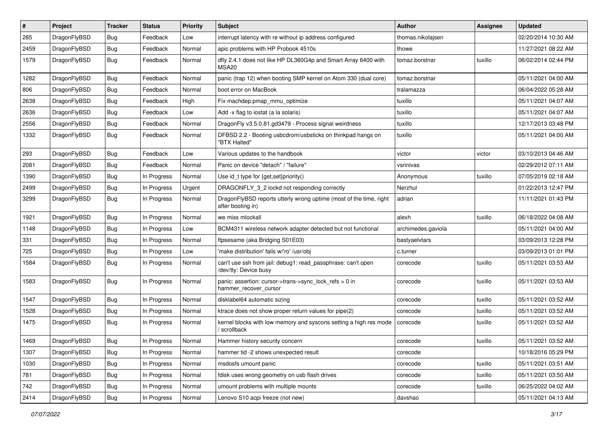| #    | Project      | <b>Tracker</b> | <b>Status</b> | <b>Priority</b> | Subject                                                                                 | <b>Author</b>      | Assignee | <b>Updated</b>      |
|------|--------------|----------------|---------------|-----------------|-----------------------------------------------------------------------------------------|--------------------|----------|---------------------|
| 285  | DragonFlyBSD | Bug            | Feedback      | Low             | interrupt latency with re without ip address configured                                 | thomas.nikolajsen  |          | 02/20/2014 10:30 AM |
| 2459 | DragonFlyBSD | Bug            | Feedback      | Normal          | apic problems with HP Probook 4510s                                                     | thowe              |          | 11/27/2021 08:22 AM |
| 1579 | DragonFlyBSD | <b>Bug</b>     | Feedback      | Normal          | dfly 2.4.1 does not like HP DL360G4p and Smart Array 6400 with<br>MSA <sub>20</sub>     | tomaz.borstnar     | tuxillo  | 06/02/2014 02:44 PM |
| 1282 | DragonFlyBSD | Bug            | Feedback      | Normal          | panic (trap 12) when booting SMP kernel on Atom 330 (dual core)                         | tomaz.borstnar     |          | 05/11/2021 04:00 AM |
| 806  | DragonFlyBSD | Bug            | Feedback      | Normal          | boot error on MacBook                                                                   | tralamazza         |          | 06/04/2022 05:28 AM |
| 2638 | DragonFlyBSD | Bug            | Feedback      | High            | Fix machdep.pmap_mmu_optimize                                                           | tuxillo            |          | 05/11/2021 04:07 AM |
| 2636 | DragonFlyBSD | Bug            | Feedback      | Low             | Add -x flag to iostat (a la solaris)                                                    | tuxillo            |          | 05/11/2021 04:07 AM |
| 2556 | DragonFlyBSD | Bug            | Feedback      | Normal          | DragonFly v3.5.0.81.gd3479 - Process signal weirdness                                   | tuxillo            |          | 12/17/2013 03:48 PM |
| 1332 | DragonFlyBSD | <b>Bug</b>     | Feedback      | Normal          | DFBSD 2.2 - Booting usbcdrom/usbsticks on thinkpad hangs on<br>"BTX Halted"             | tuxillo            |          | 05/11/2021 04:00 AM |
| 293  | DragonFlyBSD | Bug            | Feedback      | Low             | Various updates to the handbook                                                         | victor             | victor   | 03/10/2013 04:46 AM |
| 2081 | DragonFlyBSD | <b>Bug</b>     | Feedback      | Normal          | Panic on device "detach" / "failure"                                                    | vsrinivas          |          | 02/29/2012 07:11 AM |
| 1390 | DragonFlyBSD | <b>Bug</b>     | In Progress   | Normal          | Use id_t type for $\{get, set\}$ priority $()$                                          | Anonymous          | tuxillo  | 07/05/2019 02:18 AM |
| 2499 | DragonFlyBSD | <b>Bug</b>     | In Progress   | Urgent          | DRAGONFLY_3_2 lockd not responding correctly                                            | Nerzhul            |          | 01/22/2013 12:47 PM |
| 3299 | DragonFlyBSD | Bug            | In Progress   | Normal          | DragonFlyBSD reports utterly wrong uptime (most of the time, right<br>after booting in) | adrian             |          | 11/11/2021 01:43 PM |
| 1921 | DragonFlyBSD | Bug            | In Progress   | Normal          | we miss mlockall                                                                        | alexh              | tuxillo  | 06/18/2022 04:08 AM |
| 1148 | DragonFlyBSD | <b>Bug</b>     | In Progress   | Low             | BCM4311 wireless network adapter detected but not functional                            | archimedes.gaviola |          | 05/11/2021 04:00 AM |
| 331  | DragonFlyBSD | <b>Bug</b>     | In Progress   | Normal          | ftpsesame (aka Bridging S01E03)                                                         | bastyaelvtars      |          | 03/09/2013 12:28 PM |
| 725  | DragonFlyBSD | <b>Bug</b>     | In Progress   | Low             | 'make distribution' fails w/'ro' /usr/obj                                               | c.turner           |          | 03/09/2013 01:01 PM |
| 1584 | DragonFlyBSD | <b>Bug</b>     | In Progress   | Normal          | can't use ssh from jail: debug1: read_passphrase: can't open<br>/dev/tty: Device busy   | corecode           | tuxillo  | 05/11/2021 03:53 AM |
| 1583 | DragonFlyBSD | Bug            | In Progress   | Normal          | panic: assertion: cursor->trans->sync_lock_refs > 0 in<br>hammer_recover_cursor         | corecode           | tuxillo  | 05/11/2021 03:53 AM |
| 1547 | DragonFlyBSD | Bug            | In Progress   | Normal          | disklabel64 automatic sizing                                                            | corecode           | tuxillo  | 05/11/2021 03:52 AM |
| 1528 | DragonFlyBSD | <b>Bug</b>     | In Progress   | Normal          | ktrace does not show proper return values for pipe(2)                                   | corecode           | tuxillo  | 05/11/2021 03:52 AM |
| 1475 | DragonFlyBSD | <b>Bug</b>     | In Progress   | Normal          | kernel blocks with low memory and syscons setting a high res mode<br>/ scrollback       | corecode           | tuxillo  | 05/11/2021 03:52 AM |
| 1469 | DragonFlyBSD | <b>Bug</b>     | In Progress   | Normal          | Hammer history security concern                                                         | corecode           | tuxillo  | 05/11/2021 03:52 AM |
| 1307 | DragonFlyBSD | Bug            | In Progress   | Normal          | hammer tid -2 shows unexpected result                                                   | corecode           |          | 10/18/2016 05:29 PM |
| 1030 | DragonFlyBSD | Bug            | In Progress   | Normal          | msdosfs umount panic                                                                    | corecode           | tuxillo  | 05/11/2021 03:51 AM |
| 781  | DragonFlyBSD | <b>Bug</b>     | In Progress   | Normal          | fdisk uses wrong geometry on usb flash drives                                           | corecode           | tuxillo  | 05/11/2021 03:50 AM |
| 742  | DragonFlyBSD | <b>Bug</b>     | In Progress   | Normal          | umount problems with multiple mounts                                                    | corecode           | tuxillo  | 06/25/2022 04:02 AM |
| 2414 | DragonFlyBSD | <b>Bug</b>     | In Progress   | Normal          | Lenovo S10 acpi freeze (not new)                                                        | davshao            |          | 05/11/2021 04:13 AM |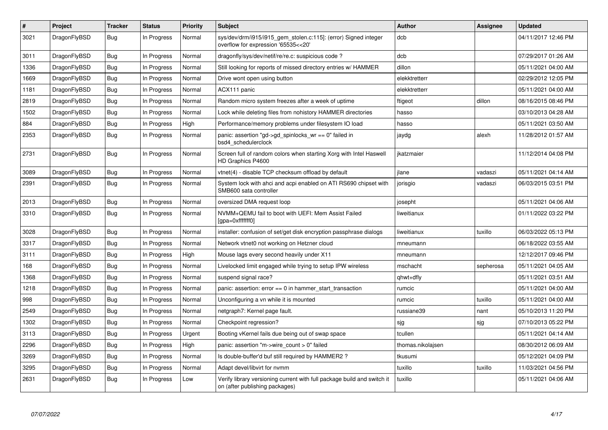| $\#$ | Project      | <b>Tracker</b> | <b>Status</b> | <b>Priority</b> | <b>Subject</b>                                                                                            | Author            | Assignee  | <b>Updated</b>      |
|------|--------------|----------------|---------------|-----------------|-----------------------------------------------------------------------------------------------------------|-------------------|-----------|---------------------|
| 3021 | DragonFlyBSD | Bug            | In Progress   | Normal          | sys/dev/drm/i915/i915_gem_stolen.c:115]: (error) Signed integer<br>overflow for expression '65535<<20'    | dcb               |           | 04/11/2017 12:46 PM |
| 3011 | DragonFlyBSD | Bug            | In Progress   | Normal          | dragonfly/sys/dev/netif/re/re.c: suspicious code?                                                         | dcb               |           | 07/29/2017 01:26 AM |
| 1336 | DragonFlyBSD | Bug            | In Progress   | Normal          | Still looking for reports of missed directory entries w/ HAMMER                                           | dillon            |           | 05/11/2021 04:00 AM |
| 1669 | DragonFlyBSD | <b>Bug</b>     | In Progress   | Normal          | Drive wont open using button                                                                              | elekktretterr     |           | 02/29/2012 12:05 PM |
| 1181 | DragonFlyBSD | Bug            | In Progress   | Normal          | ACX111 panic                                                                                              | elekktretterr     |           | 05/11/2021 04:00 AM |
| 2819 | DragonFlyBSD | Bug            | In Progress   | Normal          | Random micro system freezes after a week of uptime                                                        | ftigeot           | dillon    | 08/16/2015 08:46 PM |
| 1502 | DragonFlyBSD | <b>Bug</b>     | In Progress   | Normal          | Lock while deleting files from nohistory HAMMER directories                                               | hasso             |           | 03/10/2013 04:28 AM |
| 884  | DragonFlyBSD | <b>Bug</b>     | In Progress   | High            | Performance/memory problems under filesystem IO load                                                      | hasso             |           | 05/11/2021 03:50 AM |
| 2353 | DragonFlyBSD | Bug            | In Progress   | Normal          | panic: assertion "gd->gd_spinlocks_wr == 0" failed in<br>bsd4 schedulerclock                              | jaydg             | alexh     | 11/28/2012 01:57 AM |
| 2731 | DragonFlyBSD | <b>Bug</b>     | In Progress   | Normal          | Screen full of random colors when starting Xorg with Intel Haswell<br>HD Graphics P4600                   | ikatzmaier        |           | 11/12/2014 04:08 PM |
| 3089 | DragonFlyBSD | <b>Bug</b>     | In Progress   | Normal          | vtnet(4) - disable TCP checksum offload by default                                                        | jlane             | vadaszi   | 05/11/2021 04:14 AM |
| 2391 | DragonFlyBSD | Bug            | In Progress   | Normal          | System lock with ahci and acpi enabled on ATI RS690 chipset with<br>SMB600 sata controller                | jorisgio          | vadaszi   | 06/03/2015 03:51 PM |
| 2013 | DragonFlyBSD | Bug            | In Progress   | Normal          | oversized DMA request loop                                                                                | josepht           |           | 05/11/2021 04:06 AM |
| 3310 | DragonFlyBSD | <b>Bug</b>     | In Progress   | Normal          | NVMM+QEMU fail to boot with UEFI: Mem Assist Failed<br>[gpa=0xfffffff0]                                   | liweitianux       |           | 01/11/2022 03:22 PM |
| 3028 | DragonFlyBSD | <b>Bug</b>     | In Progress   | Normal          | installer: confusion of set/get disk encryption passphrase dialogs                                        | liweitianux       | tuxillo   | 06/03/2022 05:13 PM |
| 3317 | DragonFlyBSD | Bug            | In Progress   | Normal          | Network vtnet0 not working on Hetzner cloud                                                               | mneumann          |           | 06/18/2022 03:55 AM |
| 3111 | DragonFlyBSD | <b>Bug</b>     | In Progress   | High            | Mouse lags every second heavily under X11                                                                 | mneumann          |           | 12/12/2017 09:46 PM |
| 168  | DragonFlyBSD | Bug            | In Progress   | Normal          | Livelocked limit engaged while trying to setup IPW wireless                                               | mschacht          | sepherosa | 05/11/2021 04:05 AM |
| 1368 | DragonFlyBSD | <b>Bug</b>     | In Progress   | Normal          | suspend signal race?                                                                                      | qhwt+dfly         |           | 05/11/2021 03:51 AM |
| 1218 | DragonFlyBSD | Bug            | In Progress   | Normal          | panic: assertion: $error == 0$ in hammer start transaction                                                | rumcic            |           | 05/11/2021 04:00 AM |
| 998  | DragonFlyBSD | Bug            | In Progress   | Normal          | Unconfiguring a vn while it is mounted                                                                    | rumcic            | tuxillo   | 05/11/2021 04:00 AM |
| 2549 | DragonFlyBSD | <b>Bug</b>     | In Progress   | Normal          | netgraph7: Kernel page fault.                                                                             | russiane39        | nant      | 05/10/2013 11:20 PM |
| 1302 | DragonFlyBSD | <b>Bug</b>     | In Progress   | Normal          | Checkpoint regression?                                                                                    | sjg               | sjg       | 07/10/2013 05:22 PM |
| 3113 | DragonFlyBSD | Bug            | In Progress   | Urgent          | Booting vKernel fails due being out of swap space                                                         | tcullen           |           | 05/11/2021 04:14 AM |
| 2296 | DragonFlyBSD | Bug            | In Progress   | High            | panic: assertion "m->wire count > $0$ " failed                                                            | thomas.nikolajsen |           | 08/30/2012 06:09 AM |
| 3269 | DragonFlyBSD | Bug            | In Progress   | Normal          | Is double-buffer'd buf still required by HAMMER2?                                                         | tkusumi           |           | 05/12/2021 04:09 PM |
| 3295 | DragonFlyBSD | <b>Bug</b>     | In Progress   | Normal          | Adapt devel/libvirt for nymm                                                                              | tuxillo           | tuxillo   | 11/03/2021 04:56 PM |
| 2631 | DragonFlyBSD | Bug            | In Progress   | Low             | Verify library versioning current with full package build and switch it<br>on (after publishing packages) | tuxillo           |           | 05/11/2021 04:06 AM |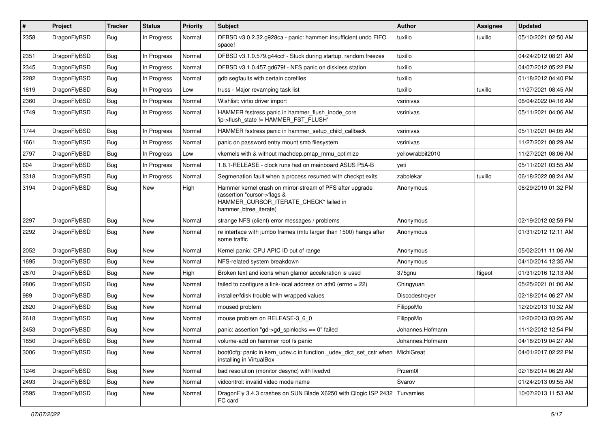| $\sharp$ | Project      | <b>Tracker</b> | <b>Status</b> | <b>Priority</b> | Subject                                                                                                                                                     | <b>Author</b>    | Assignee | <b>Updated</b>      |
|----------|--------------|----------------|---------------|-----------------|-------------------------------------------------------------------------------------------------------------------------------------------------------------|------------------|----------|---------------------|
| 2358     | DragonFlyBSD | Bug            | In Progress   | Normal          | DFBSD v3.0.2.32.g928ca - panic: hammer: insufficient undo FIFO<br>space!                                                                                    | tuxillo          | tuxillo  | 05/10/2021 02:50 AM |
| 2351     | DragonFlyBSD | <b>Bug</b>     | In Progress   | Normal          | DFBSD v3.1.0.579.g44ccf - Stuck during startup, random freezes                                                                                              | tuxillo          |          | 04/24/2012 08:21 AM |
| 2345     | DragonFlyBSD | <b>Bug</b>     | In Progress   | Normal          | DFBSD v3.1.0.457.gd679f - NFS panic on diskless station                                                                                                     | tuxillo          |          | 04/07/2012 05:22 PM |
| 2282     | DragonFlyBSD | Bug            | In Progress   | Normal          | gdb segfaults with certain corefiles                                                                                                                        | tuxillo          |          | 01/18/2012 04:40 PM |
| 1819     | DragonFlyBSD | <b>Bug</b>     | In Progress   | Low             | truss - Major revamping task list                                                                                                                           | tuxillo          | tuxillo  | 11/27/2021 08:45 AM |
| 2360     | DragonFlyBSD | <b>Bug</b>     | In Progress   | Normal          | Wishlist: virtio driver import                                                                                                                              | vsrinivas        |          | 06/04/2022 04:16 AM |
| 1749     | DragonFlyBSD | Bug            | In Progress   | Normal          | HAMMER fsstress panic in hammer_flush_inode_core<br>'ip->flush_state != HAMMER_FST_FLUSH'                                                                   | vsrinivas        |          | 05/11/2021 04:06 AM |
| 1744     | DragonFlyBSD | Bug            | In Progress   | Normal          | HAMMER fsstress panic in hammer_setup_child_callback                                                                                                        | vsrinivas        |          | 05/11/2021 04:05 AM |
| 1661     | DragonFlyBSD | <b>Bug</b>     | In Progress   | Normal          | panic on password entry mount smb filesystem                                                                                                                | vsrinivas        |          | 11/27/2021 08:29 AM |
| 2797     | DragonFlyBSD | <b>Bug</b>     | In Progress   | Low             | vkernels with & without machdep.pmap_mmu_optimize                                                                                                           | yellowrabbit2010 |          | 11/27/2021 08:06 AM |
| 604      | DragonFlyBSD | <b>Bug</b>     | In Progress   | Normal          | 1.8.1-RELEASE - clock runs fast on mainboard ASUS P5A-B                                                                                                     | yeti             |          | 05/11/2021 03:55 AM |
| 3318     | DragonFlyBSD | <b>Bug</b>     | In Progress   | Normal          | Segmenation fault when a process resumed with checkpt exits                                                                                                 | zabolekar        | tuxillo  | 06/18/2022 08:24 AM |
| 3194     | DragonFlyBSD | Bug            | New           | High            | Hammer kernel crash on mirror-stream of PFS after upgrade<br>(assertion "cursor->flags &<br>HAMMER_CURSOR_ITERATE_CHECK" failed in<br>hammer_btree_iterate) | Anonymous        |          | 06/29/2019 01:32 PM |
| 2297     | DragonFlyBSD | <b>Bug</b>     | New           | Normal          | strange NFS (client) error messages / problems                                                                                                              | Anonymous        |          | 02/19/2012 02:59 PM |
| 2292     | DragonFlyBSD | Bug            | New           | Normal          | re interface with jumbo frames (mtu larger than 1500) hangs after<br>some traffic                                                                           | Anonymous        |          | 01/31/2012 12:11 AM |
| 2052     | DragonFlyBSD | Bug            | <b>New</b>    | Normal          | Kernel panic: CPU APIC ID out of range                                                                                                                      | Anonymous        |          | 05/02/2011 11:06 AM |
| 1695     | DragonFlyBSD | Bug            | New           | Normal          | NFS-related system breakdown                                                                                                                                | Anonymous        |          | 04/10/2014 12:35 AM |
| 2870     | DragonFlyBSD | Bug            | New           | High            | Broken text and icons when glamor acceleration is used                                                                                                      | 375gnu           | ftigeot  | 01/31/2016 12:13 AM |
| 2806     | DragonFlyBSD | Bug            | <b>New</b>    | Normal          | failed to configure a link-local address on ath0 (errno = 22)                                                                                               | Chingyuan        |          | 05/25/2021 01:00 AM |
| 989      | DragonFlyBSD | Bug            | New           | Normal          | installer/fdisk trouble with wrapped values                                                                                                                 | Discodestroyer   |          | 02/18/2014 06:27 AM |
| 2620     | DragonFlyBSD | Bug            | <b>New</b>    | Normal          | moused problem                                                                                                                                              | FilippoMo        |          | 12/20/2013 10:32 AM |
| 2618     | DragonFlyBSD | Bug            | New           | Normal          | mouse problem on RELEASE-3_6_0                                                                                                                              | FilippoMo        |          | 12/20/2013 03:26 AM |
| 2453     | DragonFlyBSD | Bug            | New           | Normal          | panic: assertion "gd->gd spinlocks == $0$ " failed                                                                                                          | Johannes.Hofmann |          | 11/12/2012 12:54 PM |
| 1850     | DragonFlyBSD | Bug            | <b>New</b>    | Normal          | volume-add on hammer root fs panic                                                                                                                          | Johannes.Hofmann |          | 04/18/2019 04:27 AM |
| 3006     | DragonFlyBSD | <b>Bug</b>     | New           | Normal          | boot0cfg: panic in kern_udev.c in function_udev_dict_set_cstr when<br>installing in VirtualBox                                                              | MichiGreat       |          | 04/01/2017 02:22 PM |
| 1246     | DragonFlyBSD | <b>Bug</b>     | <b>New</b>    | Normal          | bad resolution (monitor desync) with livedvd                                                                                                                | Przem0l          |          | 02/18/2014 06:29 AM |
| 2493     | DragonFlyBSD | <b>Bug</b>     | New           | Normal          | vidcontrol: invalid video mode name                                                                                                                         | Svarov           |          | 01/24/2013 09:55 AM |
| 2595     | DragonFlyBSD | <b>Bug</b>     | New           | Normal          | DragonFly 3.4.3 crashes on SUN Blade X6250 with Qlogic ISP 2432<br>FC card                                                                                  | Turvamies        |          | 10/07/2013 11:53 AM |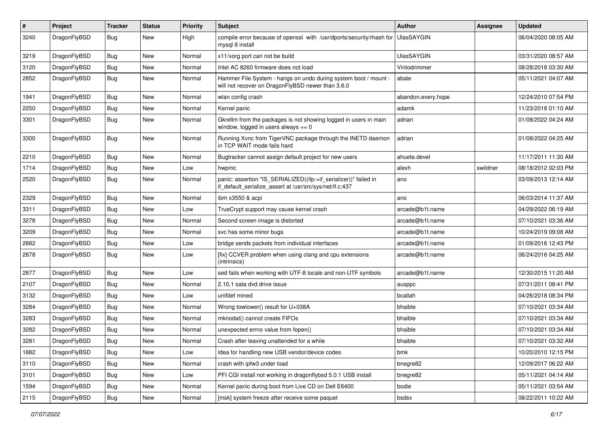| $\pmb{\#}$ | Project      | <b>Tracker</b> | <b>Status</b> | <b>Priority</b> | Subject                                                                                                                      | <b>Author</b>      | <b>Assignee</b> | <b>Updated</b>      |
|------------|--------------|----------------|---------------|-----------------|------------------------------------------------------------------------------------------------------------------------------|--------------------|-----------------|---------------------|
| 3240       | DragonFlyBSD | Bug            | New           | High            | compile error because of openssl with /usr/dports/security/rhash for<br>mysql 8 install                                      | UlasSAYGIN         |                 | 06/04/2020 08:05 AM |
| 3219       | DragonFlyBSD | <b>Bug</b>     | <b>New</b>    | Normal          | x11/xorg port can not be build                                                                                               | <b>UlasSAYGIN</b>  |                 | 03/31/2020 08:57 AM |
| 3120       | DragonFlyBSD | Bug            | <b>New</b>    | Normal          | Intel AC 8260 firmware does not load                                                                                         | Vintodrimmer       |                 | 08/28/2018 03:30 AM |
| 2852       | DragonFlyBSD | Bug            | New           | Normal          | Hammer File System - hangs on undo during system boot / mount -<br>will not recover on DragonFlyBSD newer than 3.6.0         | abale              |                 | 05/11/2021 04:07 AM |
| 1941       | DragonFlyBSD | Bug            | <b>New</b>    | Normal          | wlan config crash                                                                                                            | abandon.every.hope |                 | 12/24/2010 07:54 PM |
| 2250       | DragonFlyBSD | Bug            | <b>New</b>    | Normal          | Kernel panic                                                                                                                 | adamk              |                 | 11/23/2018 01:10 AM |
| 3301       | DragonFlyBSD | Bug            | New           | Normal          | Gkrellm from the packages is not showing logged in users in main<br>window, logged in users always $== 0$                    | adrian             |                 | 01/08/2022 04:24 AM |
| 3300       | DragonFlyBSD | Bug            | <b>New</b>    | Normal          | Running Xvnc from TigerVNC package through the INETD daemon<br>in TCP WAIT mode fails hard                                   | adrian             |                 | 01/08/2022 04:25 AM |
| 2210       | DragonFlyBSD | Bug            | <b>New</b>    | Normal          | Bugtracker cannot assign default project for new users                                                                       | ahuete.devel       |                 | 11/17/2011 11:30 AM |
| 1714       | DragonFlyBSD | <b>Bug</b>     | New           | Low             | hwpmc                                                                                                                        | alexh              | swildner        | 08/18/2012 02:03 PM |
| 2520       | DragonFlyBSD | Bug            | New           | Normal          | panic: assertion "IS_SERIALIZED((ifp->if_serializer))" failed in<br>if default serialize assert at /usr/src/sys/net/if.c:437 | ano                |                 | 03/09/2013 12:14 AM |
| 2329       | DragonFlyBSD | Bug            | <b>New</b>    | Normal          | ibm x3550 & acpi                                                                                                             | ano                |                 | 06/03/2014 11:37 AM |
| 3311       | DragonFlyBSD | Bug            | New           | Low             | TrueCrypt support may cause kernel crash                                                                                     | arcade@b1t.name    |                 | 04/29/2022 06:19 AM |
| 3278       | DragonFlyBSD | Bug            | New           | Normal          | Second screen image is distorted                                                                                             | arcade@b1t.name    |                 | 07/10/2021 03:36 AM |
| 3209       | DragonFlyBSD | Bug            | <b>New</b>    | Normal          | svc has some minor bugs                                                                                                      | arcade@b1t.name    |                 | 10/24/2019 09:08 AM |
| 2882       | DragonFlyBSD | <b>Bug</b>     | <b>New</b>    | Low             | bridge sends packets from individual interfaces                                                                              | arcade@b1t.name    |                 | 01/09/2016 12:43 PM |
| 2878       | DragonFlyBSD | Bug            | New           | Low             | [fix] CCVER problem when using clang and cpu extensions<br>(intrinsics)                                                      | arcade@b1t.name    |                 | 06/24/2016 04:25 AM |
| 2877       | DragonFlyBSD | Bug            | New           | Low             | sed fails when working with UTF-8 locale and non-UTF symbols                                                                 | arcade@b1t.name    |                 | 12/30/2015 11:20 AM |
| 2107       | DragonFlyBSD | Bug            | <b>New</b>    | Normal          | 2.10.1 sata dvd drive issue                                                                                                  | ausppc             |                 | 07/31/2011 08:41 PM |
| 3132       | DragonFlyBSD | Bug            | <b>New</b>    | Low             | unifdef mined                                                                                                                | bcallah            |                 | 04/26/2018 08:34 PM |
| 3284       | DragonFlyBSD | <b>Bug</b>     | <b>New</b>    | Normal          | Wrong towlower() result for U+038A                                                                                           | bhaible            |                 | 07/10/2021 03:34 AM |
| 3283       | DragonFlyBSD | Bug            | <b>New</b>    | Normal          | mknodat() cannot create FIFOs                                                                                                | bhaible            |                 | 07/10/2021 03:34 AM |
| 3282       | DragonFlyBSD | <b>Bug</b>     | New           | Normal          | unexpected errno value from fopen()                                                                                          | bhaible            |                 | 07/10/2021 03:34 AM |
| 3281       | DragonFlyBSD | Bug            | New           | Normal          | Crash after leaving unattended for a while                                                                                   | bhaible            |                 | 07/10/2021 03:32 AM |
| 1882       | DragonFlyBSD | <b>Bug</b>     | New           | Low             | Idea for handling new USB vendor/device codes                                                                                | bmk                |                 | 10/20/2010 12:15 PM |
| 3110       | DragonFlyBSD | <b>Bug</b>     | New           | Normal          | crash with ipfw3 under load                                                                                                  | bnegre82           |                 | 12/09/2017 06:22 AM |
| 3101       | DragonFlyBSD | <b>Bug</b>     | New           | Low             | PFI CGI install not working in dragonflybsd 5.0.1 USB install                                                                | bnegre82           |                 | 05/11/2021 04:14 AM |
| 1594       | DragonFlyBSD | Bug            | New           | Normal          | Kernel panic during boot from Live CD on Dell E6400                                                                          | bodie              |                 | 05/11/2021 03:54 AM |
| 2115       | DragonFlyBSD | Bug            | New           | Normal          | [msk] system freeze after receive some paquet                                                                                | bsdsx              |                 | 08/22/2011 10:22 AM |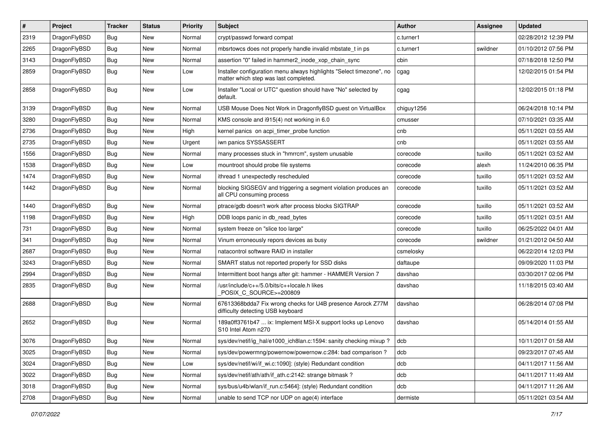| $\sharp$ | Project      | <b>Tracker</b> | <b>Status</b> | <b>Priority</b> | Subject                                                                                                       | <b>Author</b> | Assignee | <b>Updated</b>      |
|----------|--------------|----------------|---------------|-----------------|---------------------------------------------------------------------------------------------------------------|---------------|----------|---------------------|
| 2319     | DragonFlyBSD | Bug            | <b>New</b>    | Normal          | crypt/passwd forward compat                                                                                   | c.turner1     |          | 02/28/2012 12:39 PM |
| 2265     | DragonFlyBSD | Bug            | New           | Normal          | mbsrtowcs does not properly handle invalid mbstate_t in ps                                                    | c.turner1     | swildner | 01/10/2012 07:56 PM |
| 3143     | DragonFlyBSD | Bug            | New           | Normal          | assertion "0" failed in hammer2 inode xop chain sync                                                          | cbin          |          | 07/18/2018 12:50 PM |
| 2859     | DragonFlyBSD | Bug            | New           | Low             | Installer configuration menu always highlights "Select timezone", no<br>matter which step was last completed. | cgag          |          | 12/02/2015 01:54 PM |
| 2858     | DragonFlyBSD | Bug            | New           | Low             | Installer "Local or UTC" question should have "No" selected by<br>default.                                    | cgag          |          | 12/02/2015 01:18 PM |
| 3139     | DragonFlyBSD | Bug            | <b>New</b>    | Normal          | USB Mouse Does Not Work in DragonflyBSD guest on VirtualBox                                                   | chiguy1256    |          | 06/24/2018 10:14 PM |
| 3280     | DragonFlyBSD | Bug            | New           | Normal          | KMS console and i915(4) not working in 6.0                                                                    | cmusser       |          | 07/10/2021 03:35 AM |
| 2736     | DragonFlyBSD | Bug            | New           | High            | kernel panics on acpi_timer_probe function                                                                    | cnb           |          | 05/11/2021 03:55 AM |
| 2735     | DragonFlyBSD | Bug            | New           | Urgent          | iwn panics SYSSASSERT                                                                                         | cnb           |          | 05/11/2021 03:55 AM |
| 1556     | DragonFlyBSD | Bug            | New           | Normal          | many processes stuck in "hmrrcm", system unusable                                                             | corecode      | tuxillo  | 05/11/2021 03:52 AM |
| 1538     | DragonFlyBSD | Bug            | New           | Low             | mountroot should probe file systems                                                                           | corecode      | alexh    | 11/24/2010 06:35 PM |
| 1474     | DragonFlyBSD | Bug            | New           | Normal          | ithread 1 unexpectedly rescheduled                                                                            | corecode      | tuxillo  | 05/11/2021 03:52 AM |
| 1442     | DragonFlyBSD | Bug            | New           | Normal          | blocking SIGSEGV and triggering a segment violation produces an<br>all CPU consuming process                  | corecode      | tuxillo  | 05/11/2021 03:52 AM |
| 1440     | DragonFlyBSD | Bug            | <b>New</b>    | Normal          | ptrace/gdb doesn't work after process blocks SIGTRAP                                                          | corecode      | tuxillo  | 05/11/2021 03:52 AM |
| 1198     | DragonFlyBSD | Bug            | New           | High            | DDB loops panic in db_read_bytes                                                                              | corecode      | tuxillo  | 05/11/2021 03:51 AM |
| 731      | DragonFlyBSD | Bug            | New           | Normal          | system freeze on "slice too large"                                                                            | corecode      | tuxillo  | 06/25/2022 04:01 AM |
| 341      | DragonFlyBSD | Bug            | <b>New</b>    | Normal          | Vinum erroneously repors devices as busy                                                                      | corecode      | swildner | 01/21/2012 04:50 AM |
| 2687     | DragonFlyBSD | Bug            | New           | Normal          | natacontrol software RAID in installer                                                                        | csmelosky     |          | 06/22/2014 12:03 PM |
| 3243     | DragonFlyBSD | Bug            | New           | Normal          | SMART status not reported properly for SSD disks                                                              | daftaupe      |          | 09/09/2020 11:03 PM |
| 2994     | DragonFlyBSD | Bug            | New           | Normal          | Intermittent boot hangs after git: hammer - HAMMER Version 7                                                  | davshao       |          | 03/30/2017 02:06 PM |
| 2835     | DragonFlyBSD | Bug            | New           | Normal          | /usr/include/c++/5.0/bits/c++locale.h likes<br>POSIX_C_SOURCE>=200809                                         | davshao       |          | 11/18/2015 03:40 AM |
| 2688     | DragonFlyBSD | Bug            | New           | Normal          | 67613368bdda7 Fix wrong checks for U4B presence Asrock Z77M<br>difficulty detecting USB keyboard              | davshao       |          | 06/28/2014 07:08 PM |
| 2652     | DragonFlyBSD | Bug            | <b>New</b>    | Normal          | 189a0ff3761b47  ix: Implement MSI-X support locks up Lenovo<br>S <sub>10</sub> Intel Atom n <sub>270</sub>    | davshao       |          | 05/14/2014 01:55 AM |
| 3076     | DragonFlyBSD | Bug            | <b>New</b>    | Normal          | sys/dev/netif/ig hal/e1000 ich8lan.c:1594: sanity checking mixup?                                             | dcb           |          | 10/11/2017 01:58 AM |
| 3025     | DragonFlyBSD | <b>Bug</b>     | New           | Normal          | sys/dev/powermng/powernow/powernow.c:284: bad comparison?                                                     | dcb           |          | 09/23/2017 07:45 AM |
| 3024     | DragonFlyBSD | <b>Bug</b>     | New           | Low             | sys/dev/netif/wi/if_wi.c:1090]: (style) Redundant condition                                                   | dcb           |          | 04/11/2017 11:56 AM |
| 3022     | DragonFlyBSD | <b>Bug</b>     | New           | Normal          | sys/dev/netif/ath/ath/if ath.c:2142: strange bitmask?                                                         | dcb           |          | 04/11/2017 11:49 AM |
| 3018     | DragonFlyBSD | <b>Bug</b>     | <b>New</b>    | Normal          | sys/bus/u4b/wlan/if run.c:5464]: (style) Redundant condition                                                  | dcb           |          | 04/11/2017 11:26 AM |
| 2708     | DragonFlyBSD | <b>Bug</b>     | New           | Normal          | unable to send TCP nor UDP on age(4) interface                                                                | dermiste      |          | 05/11/2021 03:54 AM |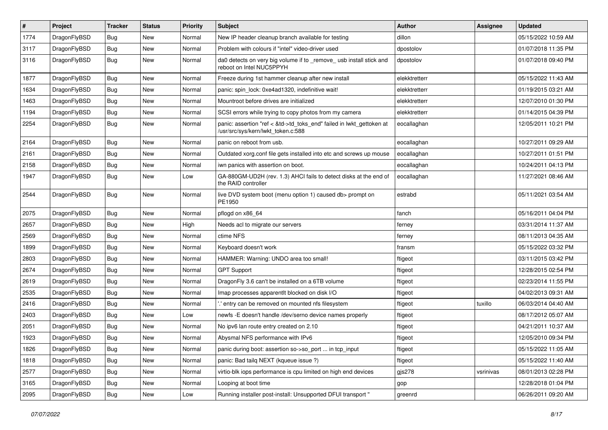| $\vert$ # | Project      | <b>Tracker</b> | <b>Status</b> | <b>Priority</b> | <b>Subject</b>                                                                                             | <b>Author</b> | Assignee  | <b>Updated</b>      |
|-----------|--------------|----------------|---------------|-----------------|------------------------------------------------------------------------------------------------------------|---------------|-----------|---------------------|
| 1774      | DragonFlyBSD | <b>Bug</b>     | <b>New</b>    | Normal          | New IP header cleanup branch available for testing                                                         | dillon        |           | 05/15/2022 10:59 AM |
| 3117      | DragonFlyBSD | <b>Bug</b>     | <b>New</b>    | Normal          | Problem with colours if "intel" video-driver used                                                          | dpostolov     |           | 01/07/2018 11:35 PM |
| 3116      | DragonFlyBSD | <b>Bug</b>     | <b>New</b>    | Normal          | da0 detects on very big volume if to _remove_usb install stick and<br>reboot on Intel NUC5PPYH             | dpostolov     |           | 01/07/2018 09:40 PM |
| 1877      | DragonFlyBSD | <b>Bug</b>     | <b>New</b>    | Normal          | Freeze during 1st hammer cleanup after new install                                                         | elekktretterr |           | 05/15/2022 11:43 AM |
| 1634      | DragonFlyBSD | <b>Bug</b>     | New           | Normal          | panic: spin lock: 0xe4ad1320, indefinitive wait!                                                           | elekktretterr |           | 01/19/2015 03:21 AM |
| 1463      | DragonFlyBSD | Bug            | <b>New</b>    | Normal          | Mountroot before drives are initialized                                                                    | elekktretterr |           | 12/07/2010 01:30 PM |
| 1194      | DragonFlyBSD | <b>Bug</b>     | <b>New</b>    | Normal          | SCSI errors while trying to copy photos from my camera                                                     | elekktretterr |           | 01/14/2015 04:39 PM |
| 2254      | DragonFlyBSD | <b>Bug</b>     | <b>New</b>    | Normal          | panic: assertion "ref < &td->td_toks_end" failed in lwkt_gettoken at<br>/usr/src/sys/kern/lwkt_token.c:588 | eocallaghan   |           | 12/05/2011 10:21 PM |
| 2164      | DragonFlyBSD | <b>Bug</b>     | <b>New</b>    | Normal          | panic on reboot from usb.                                                                                  | eocallaghan   |           | 10/27/2011 09:29 AM |
| 2161      | DragonFlyBSD | Bug            | New           | Normal          | Outdated xorg.conf file gets installed into etc and screws up mouse                                        | eocallaghan   |           | 10/27/2011 01:51 PM |
| 2158      | DragonFlyBSD | <b>Bug</b>     | <b>New</b>    | Normal          | iwn panics with assertion on boot.                                                                         | eocallaghan   |           | 10/24/2011 04:13 PM |
| 1947      | DragonFlyBSD | <b>Bug</b>     | New           | Low             | GA-880GM-UD2H (rev. 1.3) AHCI fails to detect disks at the end of<br>the RAID controller                   | eocallaghan   |           | 11/27/2021 08:46 AM |
| 2544      | DragonFlyBSD | Bug            | <b>New</b>    | Normal          | live DVD system boot (menu option 1) caused db> prompt on<br>PE1950                                        | estrabd       |           | 05/11/2021 03:54 AM |
| 2075      | DragonFlyBSD | Bug            | <b>New</b>    | Normal          | pflogd on x86_64                                                                                           | fanch         |           | 05/16/2011 04:04 PM |
| 2657      | DragonFlyBSD | <b>Bug</b>     | <b>New</b>    | High            | Needs acl to migrate our servers                                                                           | ferney        |           | 03/31/2014 11:37 AM |
| 2569      | DragonFlyBSD | Bug            | <b>New</b>    | Normal          | ctime NFS                                                                                                  | ferney        |           | 08/11/2013 04:35 AM |
| 1899      | DragonFlyBSD | <b>Bug</b>     | <b>New</b>    | Normal          | Keyboard doesn't work                                                                                      | fransm        |           | 05/15/2022 03:32 PM |
| 2803      | DragonFlyBSD | <b>Bug</b>     | <b>New</b>    | Normal          | HAMMER: Warning: UNDO area too small!                                                                      | ftigeot       |           | 03/11/2015 03:42 PM |
| 2674      | DragonFlyBSD | Bug            | <b>New</b>    | Normal          | <b>GPT Support</b>                                                                                         | ftigeot       |           | 12/28/2015 02:54 PM |
| 2619      | DragonFlyBSD | <b>Bug</b>     | New           | Normal          | DragonFly 3.6 can't be installed on a 6TB volume                                                           | ftigeot       |           | 02/23/2014 11:55 PM |
| 2535      | DragonFlyBSD | Bug            | <b>New</b>    | Normal          | Imap processes apparentlt blocked on disk I/O                                                              | ftigeot       |           | 04/02/2013 09:31 AM |
| 2416      | DragonFlyBSD | <b>Bug</b>     | <b>New</b>    | Normal          | ".' entry can be removed on mounted nfs filesystem                                                         | ftigeot       | tuxillo   | 06/03/2014 04:40 AM |
| 2403      | DragonFlyBSD | <b>Bug</b>     | <b>New</b>    | Low             | newfs -E doesn't handle /dev/serno device names properly                                                   | ftigeot       |           | 08/17/2012 05:07 AM |
| 2051      | DragonFlyBSD | Bug            | New           | Normal          | No ipv6 lan route entry created on 2.10                                                                    | ftigeot       |           | 04/21/2011 10:37 AM |
| 1923      | DragonFlyBSD | <b>Bug</b>     | New           | Normal          | Abysmal NFS performance with IPv6                                                                          | ftigeot       |           | 12/05/2010 09:34 PM |
| 1826      | DragonFlyBSD | <b>Bug</b>     | New           | Normal          | panic during boot: assertion so->so_port  in tcp_input                                                     | ftigeot       |           | 05/15/2022 11:05 AM |
| 1818      | DragonFlyBSD | <b>Bug</b>     | New           | Normal          | panic: Bad tailq NEXT (kqueue issue ?)                                                                     | ftigeot       |           | 05/15/2022 11:40 AM |
| 2577      | DragonFlyBSD | <b>Bug</b>     | New           | Normal          | virtio-blk iops performance is cpu limited on high end devices                                             | gjs278        | vsrinivas | 08/01/2013 02:28 PM |
| 3165      | DragonFlyBSD | <b>Bug</b>     | New           | Normal          | Looping at boot time                                                                                       | gop           |           | 12/28/2018 01:04 PM |
| 2095      | DragonFlyBSD | <b>Bug</b>     | New           | Low             | Running installer post-install: Unsupported DFUI transport "                                               | greenrd       |           | 06/26/2011 09:20 AM |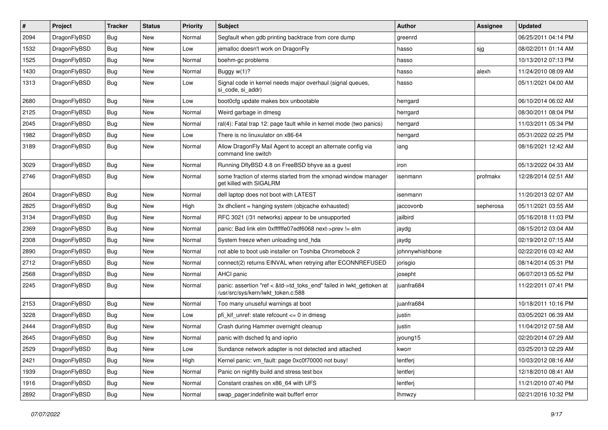| $\#$ | Project      | <b>Tracker</b> | <b>Status</b> | <b>Priority</b> | Subject                                                                                                    | <b>Author</b>   | Assignee  | <b>Updated</b>      |
|------|--------------|----------------|---------------|-----------------|------------------------------------------------------------------------------------------------------------|-----------------|-----------|---------------------|
| 2094 | DragonFlyBSD | <b>Bug</b>     | <b>New</b>    | Normal          | Segfault when gdb printing backtrace from core dump                                                        | greenrd         |           | 06/25/2011 04:14 PM |
| 1532 | DragonFlyBSD | <b>Bug</b>     | <b>New</b>    | Low             | jemalloc doesn't work on DragonFly                                                                         | hasso           | sjg       | 08/02/2011 01:14 AM |
| 1525 | DragonFlyBSD | <b>Bug</b>     | New           | Normal          | boehm-gc problems                                                                                          | hasso           |           | 10/13/2012 07:13 PM |
| 1430 | DragonFlyBSD | <b>Bug</b>     | New           | Normal          | Buggy w(1)?                                                                                                | hasso           | alexh     | 11/24/2010 08:09 AM |
| 1313 | DragonFlyBSD | Bug            | New           | Low             | Signal code in kernel needs major overhaul (signal queues,<br>si code, si addr)                            | hasso           |           | 05/11/2021 04:00 AM |
| 2680 | DragonFlyBSD | Bug            | <b>New</b>    | Low             | boot0cfg update makes box unbootable                                                                       | herrgard        |           | 06/10/2014 06:02 AM |
| 2125 | DragonFlyBSD | Bug            | New           | Normal          | Weird garbage in dmesg                                                                                     | herrgard        |           | 08/30/2011 08:04 PM |
| 2045 | DragonFlyBSD | Bug            | New           | Normal          | ral(4): Fatal trap 12: page fault while in kernel mode (two panics)                                        | herrgard        |           | 11/03/2011 05:34 PM |
| 1982 | DragonFlyBSD | <b>Bug</b>     | <b>New</b>    | Low             | There is no linuxulator on x86-64                                                                          | herrgard        |           | 05/31/2022 02:25 PM |
| 3189 | DragonFlyBSD | <b>Bug</b>     | New           | Normal          | Allow DragonFly Mail Agent to accept an alternate config via<br>command line switch                        | iang            |           | 08/16/2021 12:42 AM |
| 3029 | DragonFlyBSD | <b>Bug</b>     | <b>New</b>    | Normal          | Running DflyBSD 4.8 on FreeBSD bhyve as a guest                                                            | iron            |           | 05/13/2022 04:33 AM |
| 2746 | DragonFlyBSD | <b>Bug</b>     | New           | Normal          | some fraction of xterms started from the xmonad window manager<br>get killed with SIGALRM                  | isenmann        | profmakx  | 12/28/2014 02:51 AM |
| 2604 | DragonFlyBSD | <b>Bug</b>     | New           | Normal          | dell laptop does not boot with LATEST                                                                      | isenmann        |           | 11/20/2013 02:07 AM |
| 2825 | DragonFlyBSD | <b>Bug</b>     | New           | High            | 3x dhclient = hanging system (objcache exhausted)                                                          | jaccovonb       | sepherosa | 05/11/2021 03:55 AM |
| 3134 | DragonFlyBSD | Bug            | New           | Normal          | RFC 3021 (/31 networks) appear to be unsupported                                                           | jailbird        |           | 05/16/2018 11:03 PM |
| 2369 | DragonFlyBSD | <b>Bug</b>     | New           | Normal          | panic: Bad link elm 0xffffffe07edf6068 next->prev != elm                                                   | jaydg           |           | 08/15/2012 03:04 AM |
| 2308 | DragonFlyBSD | Bug            | New           | Normal          | System freeze when unloading snd hda                                                                       | jaydg           |           | 02/19/2012 07:15 AM |
| 2890 | DragonFlyBSD | Bug            | New           | Normal          | not able to boot usb installer on Toshiba Chromebook 2                                                     | johnnywhishbone |           | 02/22/2016 03:42 AM |
| 2712 | DragonFlyBSD | <b>Bug</b>     | New           | Normal          | connect(2) returns EINVAL when retrying after ECONNREFUSED                                                 | jorisgio        |           | 08/14/2014 05:31 PM |
| 2568 | DragonFlyBSD | <b>Bug</b>     | <b>New</b>    | Normal          | AHCI panic                                                                                                 | josepht         |           | 06/07/2013 05:52 PM |
| 2245 | DragonFlyBSD | <b>Bug</b>     | New           | Normal          | panic: assertion "ref < &td->td_toks_end" failed in lwkt_gettoken at<br>/usr/src/sys/kern/lwkt_token.c:588 | juanfra684      |           | 11/22/2011 07:41 PM |
| 2153 | DragonFlyBSD | Bug            | <b>New</b>    | Normal          | Too many unuseful warnings at boot                                                                         | juanfra684      |           | 10/18/2011 10:16 PM |
| 3228 | DragonFlyBSD | <b>Bug</b>     | New           | Low             | pfi_kif_unref: state refcount <= 0 in dmesg                                                                | justin          |           | 03/05/2021 06:39 AM |
| 2444 | DragonFlyBSD | <b>Bug</b>     | New           | Normal          | Crash during Hammer overnight cleanup                                                                      | justin          |           | 11/04/2012 07:58 AM |
| 2645 | DragonFlyBSD | <b>Bug</b>     | New           | Normal          | panic with dsched fq and ioprio                                                                            | jyoung15        |           | 02/20/2014 07:29 AM |
| 2529 | DragonFlyBSD | <b>Bug</b>     | New           | Low             | Sundance network adapter is not detected and attached                                                      | kworr           |           | 03/25/2013 02:29 AM |
| 2421 | DragonFlyBSD | Bug            | New           | High            | Kernel panic: vm_fault: page 0xc0f70000 not busy!                                                          | lentferj        |           | 10/03/2012 08:16 AM |
| 1939 | DragonFlyBSD | <b>Bug</b>     | New           | Normal          | Panic on nightly build and stress test box                                                                 | lentferj        |           | 12/18/2010 08:41 AM |
| 1916 | DragonFlyBSD | <b>Bug</b>     | New           | Normal          | Constant crashes on x86 64 with UFS                                                                        | lentferj        |           | 11/21/2010 07:40 PM |
| 2892 | DragonFlyBSD | <b>Bug</b>     | New           | Normal          | swap_pager:indefinite wait bufferf error                                                                   | Ihmwzy          |           | 02/21/2016 10:32 PM |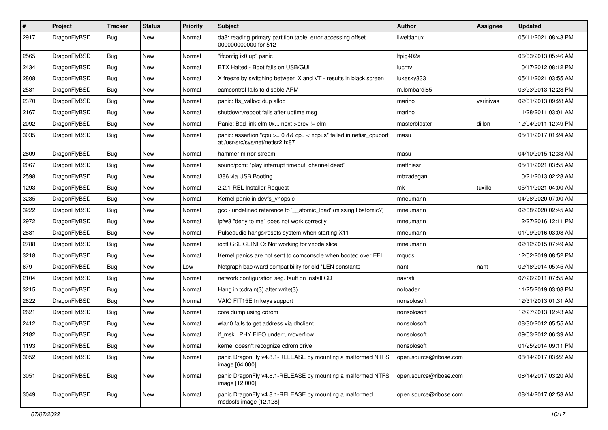| $\pmb{\#}$ | Project      | <b>Tracker</b> | <b>Status</b> | <b>Priority</b> | <b>Subject</b>                                                                                          | <b>Author</b>          | <b>Assignee</b> | <b>Updated</b>      |
|------------|--------------|----------------|---------------|-----------------|---------------------------------------------------------------------------------------------------------|------------------------|-----------------|---------------------|
| 2917       | DragonFlyBSD | Bug            | New           | Normal          | da8: reading primary partition table: error accessing offset<br>000000000000 for 512                    | liweitianux            |                 | 05/11/2021 08:43 PM |
| 2565       | DragonFlyBSD | <b>Bug</b>     | <b>New</b>    | Normal          | "ifconfig ix0 up" panic                                                                                 | Itpig402a              |                 | 06/03/2013 05:46 AM |
| 2434       | DragonFlyBSD | Bug            | New           | Normal          | BTX Halted - Boot fails on USB/GUI                                                                      | lucmv                  |                 | 10/17/2012 08:12 PM |
| 2808       | DragonFlyBSD | <b>Bug</b>     | <b>New</b>    | Normal          | X freeze by switching between X and VT - results in black screen                                        | lukesky333             |                 | 05/11/2021 03:55 AM |
| 2531       | DragonFlyBSD | Bug            | New           | Normal          | camcontrol fails to disable APM                                                                         | m.lombardi85           |                 | 03/23/2013 12:28 PM |
| 2370       | DragonFlyBSD | Bug            | <b>New</b>    | Normal          | panic: ffs_valloc: dup alloc                                                                            | marino                 | vsrinivas       | 02/01/2013 09:28 AM |
| 2167       | DragonFlyBSD | Bug            | <b>New</b>    | Normal          | shutdown/reboot fails after uptime msg                                                                  | marino                 |                 | 11/28/2011 03:01 AM |
| 2092       | DragonFlyBSD | Bug            | <b>New</b>    | Normal          | Panic: Bad link elm 0x next->prev != elm                                                                | masterblaster          | dillon          | 12/04/2011 12:49 PM |
| 3035       | DragonFlyBSD | Bug            | New           | Normal          | panic: assertion "cpu >= 0 && cpu < ncpus" failed in netisr_cpuport<br>at /usr/src/sys/net/netisr2.h:87 | masu                   |                 | 05/11/2017 01:24 AM |
| 2809       | DragonFlyBSD | Bug            | <b>New</b>    | Normal          | hammer mirror-stream                                                                                    | masu                   |                 | 04/10/2015 12:33 AM |
| 2067       | DragonFlyBSD | Bug            | <b>New</b>    | Normal          | sound/pcm: "play interrupt timeout, channel dead"                                                       | matthiasr              |                 | 05/11/2021 03:55 AM |
| 2598       | DragonFlyBSD | <b>Bug</b>     | New           | Normal          | i386 via USB Booting                                                                                    | mbzadegan              |                 | 10/21/2013 02:28 AM |
| 1293       | DragonFlyBSD | Bug            | <b>New</b>    | Normal          | 2.2.1-REL Installer Request                                                                             | mk                     | tuxillo         | 05/11/2021 04:00 AM |
| 3235       | DragonFlyBSD | Bug            | New           | Normal          | Kernel panic in devfs vnops.c                                                                           | mneumann               |                 | 04/28/2020 07:00 AM |
| 3222       | DragonFlyBSD | <b>Bug</b>     | New           | Normal          | gcc - undefined reference to '__atomic_load' (missing libatomic?)                                       | mneumann               |                 | 02/08/2020 02:45 AM |
| 2972       | DragonFlyBSD | Bug            | <b>New</b>    | Normal          | ipfw3 "deny to me" does not work correctly                                                              | mneumann               |                 | 12/27/2016 12:11 PM |
| 2881       | DragonFlyBSD | <b>Bug</b>     | New           | Normal          | Pulseaudio hangs/resets system when starting X11                                                        | mneumann               |                 | 01/09/2016 03:08 AM |
| 2788       | DragonFlyBSD | Bug            | <b>New</b>    | Normal          | ioctl GSLICEINFO: Not working for vnode slice                                                           | mneumann               |                 | 02/12/2015 07:49 AM |
| 3218       | DragonFlyBSD | Bug            | New           | Normal          | Kernel panics are not sent to comconsole when booted over EFI                                           | mqudsi                 |                 | 12/02/2019 08:52 PM |
| 679        | DragonFlyBSD | <b>Bug</b>     | <b>New</b>    | Low             | Netgraph backward compatibility for old *LEN constants                                                  | nant                   | nant            | 02/18/2014 05:45 AM |
| 2104       | DragonFlyBSD | Bug            | <b>New</b>    | Normal          | network configuration seg. fault on install CD                                                          | navratil               |                 | 07/26/2011 07:55 AM |
| 3215       | DragonFlyBSD | <b>Bug</b>     | New           | Normal          | Hang in tcdrain(3) after write $(3)$                                                                    | noloader               |                 | 11/25/2019 03:08 PM |
| 2622       | DragonFlyBSD | Bug            | New           | Normal          | VAIO FIT15E fn keys support                                                                             | nonsolosoft            |                 | 12/31/2013 01:31 AM |
| 2621       | DragonFlyBSD | Bug            | New           | Normal          | core dump using cdrom                                                                                   | nonsolosoft            |                 | 12/27/2013 12:43 AM |
| 2412       | DragonFlyBSD | Bug            | <b>New</b>    | Normal          | wlan0 fails to get address via dhclient                                                                 | nonsolosoft            |                 | 08/30/2012 05:55 AM |
| 2182       | DragonFlyBSD | Bug            | <b>New</b>    | Normal          | if msk PHY FIFO underrun/overflow                                                                       | nonsolosoft            |                 | 09/03/2012 06:39 AM |
| 1193       | DragonFlyBSD | Bug            | New           | Normal          | kernel doesn't recognize cdrom drive                                                                    | nonsolosoft            |                 | 01/25/2014 09:11 PM |
| 3052       | DragonFlyBSD | Bug            | New           | Normal          | panic DragonFly v4.8.1-RELEASE by mounting a malformed NTFS<br>image [64.000]                           | open.source@ribose.com |                 | 08/14/2017 03:22 AM |
| 3051       | DragonFlyBSD | Bug            | New           | Normal          | panic DragonFly v4.8.1-RELEASE by mounting a malformed NTFS<br>image [12.000]                           | open.source@ribose.com |                 | 08/14/2017 03:20 AM |
| 3049       | DragonFlyBSD | <b>Bug</b>     | New           | Normal          | panic DragonFly v4.8.1-RELEASE by mounting a malformed<br>msdosfs image [12.128]                        | open.source@ribose.com |                 | 08/14/2017 02:53 AM |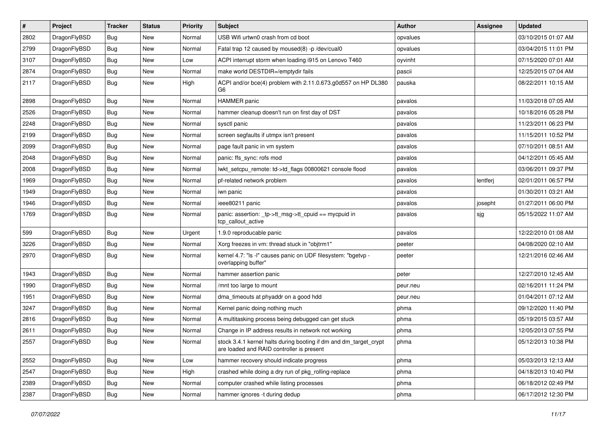| #    | Project      | <b>Tracker</b> | <b>Status</b> | <b>Priority</b> | Subject                                                                                                        | <b>Author</b> | Assignee | <b>Updated</b>      |
|------|--------------|----------------|---------------|-----------------|----------------------------------------------------------------------------------------------------------------|---------------|----------|---------------------|
| 2802 | DragonFlyBSD | Bug            | <b>New</b>    | Normal          | USB Wifi urtwn0 crash from cd boot                                                                             | opvalues      |          | 03/10/2015 01:07 AM |
| 2799 | DragonFlyBSD | Bug            | <b>New</b>    | Normal          | Fatal trap 12 caused by moused(8) -p /dev/cual0                                                                | opvalues      |          | 03/04/2015 11:01 PM |
| 3107 | DragonFlyBSD | <b>Bug</b>     | <b>New</b>    | Low             | ACPI interrupt storm when loading i915 on Lenovo T460                                                          | oyvinht       |          | 07/15/2020 07:01 AM |
| 2874 | DragonFlyBSD | Bug            | <b>New</b>    | Normal          | make world DESTDIR=/emptydir fails                                                                             | pascii        |          | 12/25/2015 07:04 AM |
| 2117 | DragonFlyBSD | <b>Bug</b>     | New           | High            | ACPI and/or bce(4) problem with 2.11.0.673.g0d557 on HP DL380<br>G <sub>6</sub>                                | pauska        |          | 08/22/2011 10:15 AM |
| 2898 | DragonFlyBSD | Bug            | <b>New</b>    | Normal          | <b>HAMMER</b> panic                                                                                            | pavalos       |          | 11/03/2018 07:05 AM |
| 2526 | DragonFlyBSD | <b>Bug</b>     | <b>New</b>    | Normal          | hammer cleanup doesn't run on first day of DST                                                                 | pavalos       |          | 10/18/2016 05:28 PM |
| 2248 | DragonFlyBSD | Bug            | <b>New</b>    | Normal          | sysctl panic                                                                                                   | pavalos       |          | 11/23/2011 06:23 PM |
| 2199 | DragonFlyBSD | Bug            | <b>New</b>    | Normal          | screen segfaults if utmpx isn't present                                                                        | pavalos       |          | 11/15/2011 10:52 PM |
| 2099 | DragonFlyBSD | Bug            | New           | Normal          | page fault panic in vm system                                                                                  | pavalos       |          | 07/10/2011 08:51 AM |
| 2048 | DragonFlyBSD | Bug            | <b>New</b>    | Normal          | panic: ffs_sync: rofs mod                                                                                      | pavalos       |          | 04/12/2011 05:45 AM |
| 2008 | DragonFlyBSD | <b>Bug</b>     | New           | Normal          | lwkt_setcpu_remote: td->td_flags 00800621 console flood                                                        | pavalos       |          | 03/06/2011 09:37 PM |
| 1969 | DragonFlyBSD | <b>Bug</b>     | <b>New</b>    | Normal          | pf-related network problem                                                                                     | pavalos       | lentferj | 02/01/2011 06:57 PM |
| 1949 | DragonFlyBSD | <b>Bug</b>     | <b>New</b>    | Normal          | iwn panic                                                                                                      | pavalos       |          | 01/30/2011 03:21 AM |
| 1946 | DragonFlyBSD | <b>Bug</b>     | <b>New</b>    | Normal          | ieee80211 panic                                                                                                | pavalos       | josepht  | 01/27/2011 06:00 PM |
| 1769 | DragonFlyBSD | Bug            | <b>New</b>    | Normal          | panic: assertion: _tp->tt_msg->tt_cpuid == mycpuid in<br>tcp_callout_active                                    | pavalos       | sjg      | 05/15/2022 11:07 AM |
| 599  | DragonFlyBSD | Bug            | <b>New</b>    | Urgent          | 1.9.0 reproducable panic                                                                                       | pavalos       |          | 12/22/2010 01:08 AM |
| 3226 | DragonFlyBSD | Bug            | <b>New</b>    | Normal          | Xorg freezes in vm: thread stuck in "objtrm1"                                                                  | peeter        |          | 04/08/2020 02:10 AM |
| 2970 | DragonFlyBSD | Bug            | New           | Normal          | kernel 4.7: "Is -I" causes panic on UDF filesystem: "bgetvp -<br>overlapping buffer"                           | peeter        |          | 12/21/2016 02:46 AM |
| 1943 | DragonFlyBSD | Bug            | <b>New</b>    | Normal          | hammer assertion panic                                                                                         | peter         |          | 12/27/2010 12:45 AM |
| 1990 | DragonFlyBSD | Bug            | <b>New</b>    | Normal          | /mnt too large to mount                                                                                        | peur.neu      |          | 02/16/2011 11:24 PM |
| 1951 | DragonFlyBSD | Bug            | <b>New</b>    | Normal          | dma_timeouts at phyaddr on a good hdd                                                                          | peur.neu      |          | 01/04/2011 07:12 AM |
| 3247 | DragonFlyBSD | Bug            | <b>New</b>    | Normal          | Kernel panic doing nothing much                                                                                | phma          |          | 09/12/2020 11:40 PM |
| 2816 | DragonFlyBSD | <b>Bug</b>     | New           | Normal          | A multitasking process being debugged can get stuck                                                            | phma          |          | 05/19/2015 03:57 AM |
| 2611 | DragonFlyBSD | <b>Bug</b>     | <b>New</b>    | Normal          | Change in IP address results in network not working                                                            | phma          |          | 12/05/2013 07:55 PM |
| 2557 | DragonFlyBSD | Bug            | <b>New</b>    | Normal          | stock 3.4.1 kernel halts during booting if dm and dm_target_crypt<br>are loaded and RAID controller is present | phma          |          | 05/12/2013 10:38 PM |
| 2552 | DragonFlyBSD | <b>Bug</b>     | New           | Low             | hammer recovery should indicate progress                                                                       | phma          |          | 05/03/2013 12:13 AM |
| 2547 | DragonFlyBSD | <b>Bug</b>     | New           | High            | crashed while doing a dry run of pkg_rolling-replace                                                           | phma          |          | 04/18/2013 10:40 PM |
| 2389 | DragonFlyBSD | Bug            | New           | Normal          | computer crashed while listing processes                                                                       | phma          |          | 06/18/2012 02:49 PM |
| 2387 | DragonFlyBSD | Bug            | New           | Normal          | hammer ignores -t during dedup                                                                                 | phma          |          | 06/17/2012 12:30 PM |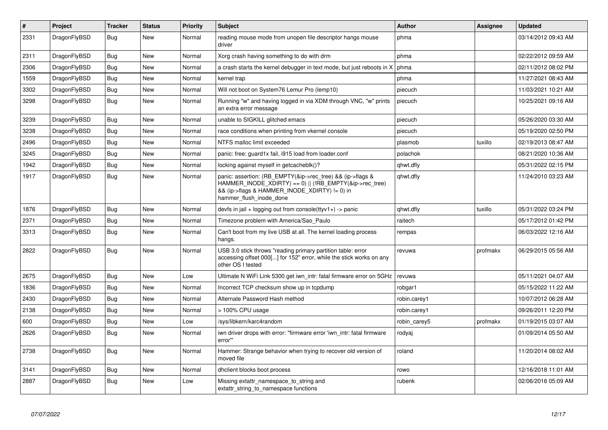| #    | Project      | Tracker    | <b>Status</b> | <b>Priority</b> | <b>Subject</b>                                                                                                                                                                                    | <b>Author</b> | Assignee | <b>Updated</b>      |
|------|--------------|------------|---------------|-----------------|---------------------------------------------------------------------------------------------------------------------------------------------------------------------------------------------------|---------------|----------|---------------------|
| 2331 | DragonFlyBSD | Bug        | New           | Normal          | reading mouse mode from unopen file descriptor hangs mouse<br>driver                                                                                                                              | phma          |          | 03/14/2012 09:43 AM |
| 2311 | DragonFlyBSD | <b>Bug</b> | <b>New</b>    | Normal          | Xorg crash having something to do with drm                                                                                                                                                        | phma          |          | 02/22/2012 09:59 AM |
| 2306 | DragonFlyBSD | Bug        | <b>New</b>    | Normal          | a crash starts the kernel debugger in text mode, but just reboots in X                                                                                                                            | phma          |          | 02/11/2012 08:02 PM |
| 1559 | DragonFlyBSD | Bug        | New           | Normal          | kernel trap                                                                                                                                                                                       | phma          |          | 11/27/2021 08:43 AM |
| 3302 | DragonFlyBSD | Bug        | <b>New</b>    | Normal          | Will not boot on System76 Lemur Pro (lemp10)                                                                                                                                                      | piecuch       |          | 11/03/2021 10:21 AM |
| 3298 | DragonFlyBSD | Bug        | New           | Normal          | Running "w" and having logged in via XDM through VNC, "w" prints<br>an extra error message                                                                                                        | piecuch       |          | 10/25/2021 09:16 AM |
| 3239 | DragonFlyBSD | <b>Bug</b> | <b>New</b>    | Normal          | unable to SIGKILL glitched emacs                                                                                                                                                                  | piecuch       |          | 05/26/2020 03:30 AM |
| 3238 | DragonFlyBSD | Bug        | <b>New</b>    | Normal          | race conditions when printing from vkernel console                                                                                                                                                | piecuch       |          | 05/19/2020 02:50 PM |
| 2496 | DragonFlyBSD | <b>Bug</b> | <b>New</b>    | Normal          | NTFS malloc limit exceeded                                                                                                                                                                        | plasmob       | tuxillo  | 02/19/2013 08:47 AM |
| 3245 | DragonFlyBSD | Bug        | <b>New</b>    | Normal          | panic: free: guard1x fail, i915 load from loader.conf                                                                                                                                             | polachok      |          | 08/21/2020 10:36 AM |
| 1942 | DragonFlyBSD | Bug        | <b>New</b>    | Normal          | locking against myself in getcacheblk()?                                                                                                                                                          | qhwt.dfly     |          | 05/31/2022 02:15 PM |
| 1917 | DragonFlyBSD | <b>Bug</b> | <b>New</b>    | Normal          | panic: assertion: (RB EMPTY(&ip->rec_tree) && (ip->flags &<br>HAMMER_INODE_XDIRTY) == 0)    (!RB_EMPTY(&ip->rec_tree)<br>&& (ip->flags & HAMMER_INODE_XDIRTY) != 0) in<br>hammer flush inode done | qhwt.dfly     |          | 11/24/2010 03:23 AM |
| 1876 | DragonFlyBSD | <b>Bug</b> | <b>New</b>    | Normal          | devfs in jail + logging out from console(ttyv1+) -> panic                                                                                                                                         | qhwt.dfly     | tuxillo  | 05/31/2022 03:24 PM |
| 2371 | DragonFlyBSD | <b>Bug</b> | <b>New</b>    | Normal          | Timezone problem with America/Sao Paulo                                                                                                                                                           | raitech       |          | 05/17/2012 01:42 PM |
| 3313 | DragonFlyBSD | Bug        | <b>New</b>    | Normal          | Can't boot from my live USB at all. The kernel loading process<br>hangs.                                                                                                                          | rempas        |          | 06/03/2022 12:16 AM |
| 2822 | DragonFlyBSD | <b>Bug</b> | <b>New</b>    | Normal          | USB 3.0 stick throws "reading primary partition table: error<br>accessing offset 000[] for 152" error, while the stick works on any<br>other OS I tested                                          | revuwa        | profmakx | 06/29/2015 05:56 AM |
| 2675 | DragonFlyBSD | Bug        | New           | Low             | Ultimate N WiFi Link 5300 get iwn intr: fatal firmware error on 5GHz                                                                                                                              | revuwa        |          | 05/11/2021 04:07 AM |
| 1836 | DragonFlyBSD | <b>Bug</b> | <b>New</b>    | Normal          | Incorrect TCP checksum show up in tcpdump                                                                                                                                                         | robgar1       |          | 05/15/2022 11:22 AM |
| 2430 | DragonFlyBSD | Bug        | <b>New</b>    | Normal          | Alternate Password Hash method                                                                                                                                                                    | robin.carey1  |          | 10/07/2012 06:28 AM |
| 2138 | DragonFlyBSD | Bug        | <b>New</b>    | Normal          | > 100% CPU usage                                                                                                                                                                                  | robin.carey1  |          | 09/26/2011 12:20 PM |
| 600  | DragonFlyBSD | <b>Bug</b> | New           | Low             | /sys/libkern/karc4random                                                                                                                                                                          | robin carey5  | profmakx | 01/19/2015 03:07 AM |
| 2626 | DragonFlyBSD | <b>Bug</b> | <b>New</b>    | Normal          | iwn driver drops with error: "firmware error 'iwn intr: fatal firmware<br>error""                                                                                                                 | rodyaj        |          | 01/09/2014 05:50 AM |
| 2738 | DragonFlyBSD | <b>Bug</b> | <b>New</b>    | Normal          | Hammer: Strange behavior when trying to recover old version of<br>moved file                                                                                                                      | roland        |          | 11/20/2014 08:02 AM |
| 3141 | DragonFlyBSD | <b>Bug</b> | <b>New</b>    | Normal          | dhclient blocks boot process                                                                                                                                                                      | rowo          |          | 12/16/2018 11:01 AM |
| 2887 | DragonFlyBSD | Bug        | New           | Low             | Missing extattr namespace to string and<br>extattr string to namespace functions                                                                                                                  | rubenk        |          | 02/06/2016 05:09 AM |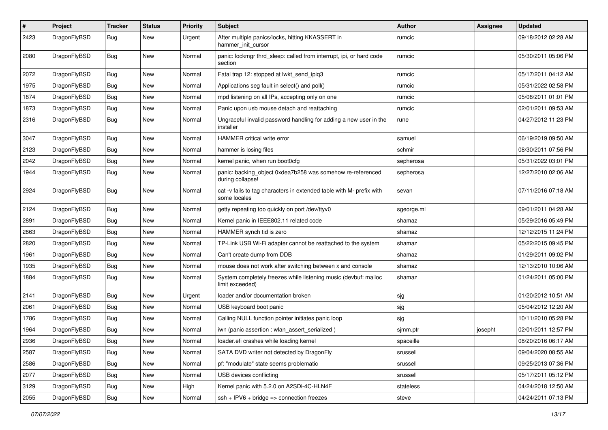| #    | Project      | <b>Tracker</b> | <b>Status</b> | <b>Priority</b> | Subject                                                                              | <b>Author</b> | Assignee | <b>Updated</b>      |
|------|--------------|----------------|---------------|-----------------|--------------------------------------------------------------------------------------|---------------|----------|---------------------|
| 2423 | DragonFlyBSD | Bug            | <b>New</b>    | Urgent          | After multiple panics/locks, hitting KKASSERT in<br>hammer init cursor               | rumcic        |          | 09/18/2012 02:28 AM |
| 2080 | DragonFlyBSD | Bug            | <b>New</b>    | Normal          | panic: lockmgr thrd sleep: called from interrupt, ipi, or hard code<br>section       | rumcic        |          | 05/30/2011 05:06 PM |
| 2072 | DragonFlyBSD | <b>Bug</b>     | New           | Normal          | Fatal trap 12: stopped at lwkt_send_ipiq3                                            | rumcic        |          | 05/17/2011 04:12 AM |
| 1975 | DragonFlyBSD | <b>Bug</b>     | <b>New</b>    | Normal          | Applications seg fault in select() and poll()                                        | rumcic        |          | 05/31/2022 02:58 PM |
| 1874 | DragonFlyBSD | <b>Bug</b>     | <b>New</b>    | Normal          | mpd listening on all IPs, accepting only on one                                      | rumcic        |          | 05/08/2011 01:01 PM |
| 1873 | DragonFlyBSD | <b>Bug</b>     | New           | Normal          | Panic upon usb mouse detach and reattaching                                          | rumcic        |          | 02/01/2011 09:53 AM |
| 2316 | DragonFlyBSD | <b>Bug</b>     | New           | Normal          | Ungraceful invalid password handling for adding a new user in the<br>installer       | rune          |          | 04/27/2012 11:23 PM |
| 3047 | DragonFlyBSD | <b>Bug</b>     | <b>New</b>    | Normal          | HAMMER critical write error                                                          | samuel        |          | 06/19/2019 09:50 AM |
| 2123 | DragonFlyBSD | <b>Bug</b>     | <b>New</b>    | Normal          | hammer is losing files                                                               | schmir        |          | 08/30/2011 07:56 PM |
| 2042 | DragonFlyBSD | <b>Bug</b>     | <b>New</b>    | Normal          | kernel panic, when run boot0cfg                                                      | sepherosa     |          | 05/31/2022 03:01 PM |
| 1944 | DragonFlyBSD | <b>Bug</b>     | <b>New</b>    | Normal          | panic: backing_object 0xdea7b258 was somehow re-referenced<br>during collapse!       | sepherosa     |          | 12/27/2010 02:06 AM |
| 2924 | DragonFlyBSD | <b>Bug</b>     | New           | Normal          | cat -v fails to tag characters in extended table with M- prefix with<br>some locales | sevan         |          | 07/11/2016 07:18 AM |
| 2124 | DragonFlyBSD | <b>Bug</b>     | <b>New</b>    | Normal          | getty repeating too quickly on port /dev/ttyv0                                       | sgeorge.ml    |          | 09/01/2011 04:28 AM |
| 2891 | DragonFlyBSD | <b>Bug</b>     | <b>New</b>    | Normal          | Kernel panic in IEEE802.11 related code                                              | shamaz        |          | 05/29/2016 05:49 PM |
| 2863 | DragonFlyBSD | <b>Bug</b>     | <b>New</b>    | Normal          | HAMMER synch tid is zero                                                             | shamaz        |          | 12/12/2015 11:24 PM |
| 2820 | DragonFlyBSD | <b>Bug</b>     | <b>New</b>    | Normal          | TP-Link USB Wi-Fi adapter cannot be reattached to the system                         | shamaz        |          | 05/22/2015 09:45 PM |
| 1961 | DragonFlyBSD | <b>Bug</b>     | <b>New</b>    | Normal          | Can't create dump from DDB                                                           | shamaz        |          | 01/29/2011 09:02 PM |
| 1935 | DragonFlyBSD | <b>Bug</b>     | <b>New</b>    | Normal          | mouse does not work after switching between x and console                            | shamaz        |          | 12/13/2010 10:06 AM |
| 1884 | DragonFlyBSD | Bug            | <b>New</b>    | Normal          | System completely freezes while listening music (devbuf: malloc<br>limit exceeded)   | shamaz        |          | 01/24/2011 05:00 PM |
| 2141 | DragonFlyBSD | <b>Bug</b>     | <b>New</b>    | Urgent          | loader and/or documentation broken                                                   | sjg           |          | 01/20/2012 10:51 AM |
| 2061 | DragonFlyBSD | <b>Bug</b>     | <b>New</b>    | Normal          | USB keyboard boot panic                                                              | sjg           |          | 05/04/2012 12:20 AM |
| 1786 | DragonFlyBSD | <b>Bug</b>     | <b>New</b>    | Normal          | Calling NULL function pointer initiates panic loop                                   | sjg           |          | 10/11/2010 05:28 PM |
| 1964 | DragonFlyBSD | <b>Bug</b>     | <b>New</b>    | Normal          | iwn (panic assertion : wlan_assert_serialized)                                       | sjmm.ptr      | josepht  | 02/01/2011 12:57 PM |
| 2936 | DragonFlyBSD | <b>Bug</b>     | <b>New</b>    | Normal          | loader.efi crashes while loading kernel                                              | spaceille     |          | 08/20/2016 06:17 AM |
| 2587 | DragonFlyBSD | <b>Bug</b>     | New           | Normal          | SATA DVD writer not detected by DragonFly                                            | srussell      |          | 09/04/2020 08:55 AM |
| 2586 | DragonFlyBSD | <b>Bug</b>     | New           | Normal          | pf: "modulate" state seems problematic                                               | srussell      |          | 09/25/2013 07:36 PM |
| 2077 | DragonFlyBSD | <b>Bug</b>     | New           | Normal          | USB devices conflicting                                                              | srussell      |          | 05/17/2011 05:12 PM |
| 3129 | DragonFlyBSD | <b>Bug</b>     | New           | High            | Kernel panic with 5.2.0 on A2SDi-4C-HLN4F                                            | stateless     |          | 04/24/2018 12:50 AM |
| 2055 | DragonFlyBSD | <b>Bug</b>     | New           | Normal          | $ssh + IPV6 + bridge \Rightarrow$ connection freezes                                 | steve         |          | 04/24/2011 07:13 PM |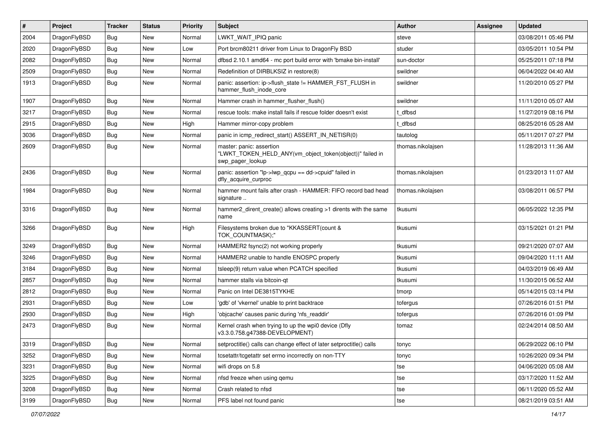| ∦    | Project      | <b>Tracker</b> | <b>Status</b> | <b>Priority</b> | Subject                                                                                                  | Author            | Assignee | <b>Updated</b>      |
|------|--------------|----------------|---------------|-----------------|----------------------------------------------------------------------------------------------------------|-------------------|----------|---------------------|
| 2004 | DragonFlyBSD | <b>Bug</b>     | New           | Normal          | LWKT_WAIT_IPIQ panic                                                                                     | steve             |          | 03/08/2011 05:46 PM |
| 2020 | DragonFlyBSD | Bug            | <b>New</b>    | Low             | Port brcm80211 driver from Linux to DragonFly BSD                                                        | studer            |          | 03/05/2011 10:54 PM |
| 2082 | DragonFlyBSD | <b>Bug</b>     | New           | Normal          | dfbsd 2.10.1 amd64 - mc port build error with 'bmake bin-install'                                        | sun-doctor        |          | 05/25/2011 07:18 PM |
| 2509 | DragonFlyBSD | Bug            | New           | Normal          | Redefinition of DIRBLKSIZ in restore(8)                                                                  | swildner          |          | 06/04/2022 04:40 AM |
| 1913 | DragonFlyBSD | Bug            | New           | Normal          | panic: assertion: ip->flush_state != HAMMER_FST_FLUSH in<br>hammer flush inode core                      | swildner          |          | 11/20/2010 05:27 PM |
| 1907 | DragonFlyBSD | Bug            | <b>New</b>    | Normal          | Hammer crash in hammer_flusher_flush()                                                                   | swildner          |          | 11/11/2010 05:07 AM |
| 3217 | DragonFlyBSD | <b>Bug</b>     | New           | Normal          | rescue tools: make install fails if rescue folder doesn't exist                                          | t dfbsd           |          | 11/27/2019 08:16 PM |
| 2915 | DragonFlyBSD | Bug            | <b>New</b>    | High            | Hammer mirror-copy problem                                                                               | t dfbsd           |          | 08/25/2016 05:28 AM |
| 3036 | DragonFlyBSD | <b>Bug</b>     | <b>New</b>    | Normal          | panic in icmp_redirect_start() ASSERT_IN_NETISR(0)                                                       | tautolog          |          | 05/11/2017 07:27 PM |
| 2609 | DragonFlyBSD | Bug            | <b>New</b>    | Normal          | master: panic: assertion<br>"LWKT_TOKEN_HELD_ANY(vm_object_token(object))" failed in<br>swp pager lookup | thomas.nikolajsen |          | 11/28/2013 11:36 AM |
| 2436 | DragonFlyBSD | Bug            | New           | Normal          | panic: assertion "lp->lwp_qcpu == dd->cpuid" failed in<br>dfly_acquire_curproc                           | thomas.nikolajsen |          | 01/23/2013 11:07 AM |
| 1984 | DragonFlyBSD | Bug            | New           | Normal          | hammer mount fails after crash - HAMMER: FIFO record bad head<br>signature                               | thomas.nikolajsen |          | 03/08/2011 06:57 PM |
| 3316 | DragonFlyBSD | <b>Bug</b>     | <b>New</b>    | Normal          | hammer2_dirent_create() allows creating >1 dirents with the same<br>name                                 | tkusumi           |          | 06/05/2022 12:35 PM |
| 3266 | DragonFlyBSD | Bug            | <b>New</b>    | High            | Filesystems broken due to "KKASSERT(count &<br>TOK_COUNTMASK);"                                          | tkusumi           |          | 03/15/2021 01:21 PM |
| 3249 | DragonFlyBSD | Bug            | <b>New</b>    | Normal          | HAMMER2 fsync(2) not working properly                                                                    | tkusumi           |          | 09/21/2020 07:07 AM |
| 3246 | DragonFlyBSD | Bug            | New           | Normal          | HAMMER2 unable to handle ENOSPC properly                                                                 | tkusumi           |          | 09/04/2020 11:11 AM |
| 3184 | DragonFlyBSD | <b>Bug</b>     | <b>New</b>    | Normal          | tsleep(9) return value when PCATCH specified                                                             | tkusumi           |          | 04/03/2019 06:49 AM |
| 2857 | DragonFlyBSD | <b>Bug</b>     | New           | Normal          | hammer stalls via bitcoin-qt                                                                             | tkusumi           |          | 11/30/2015 06:52 AM |
| 2812 | DragonFlyBSD | Bug            | <b>New</b>    | Normal          | Panic on Intel DE3815TYKHE                                                                               | tmorp             |          | 05/14/2015 03:14 PM |
| 2931 | DragonFlyBSD | <b>Bug</b>     | New           | Low             | 'gdb' of 'vkernel' unable to print backtrace                                                             | tofergus          |          | 07/26/2016 01:51 PM |
| 2930 | DragonFlyBSD | Bug            | <b>New</b>    | High            | 'objcache' causes panic during 'nfs_readdir'                                                             | tofergus          |          | 07/26/2016 01:09 PM |
| 2473 | DragonFlyBSD | Bug            | New           | Normal          | Kernel crash when trying to up the wpi0 device (Dfly<br>v3.3.0.758.g47388-DEVELOPMENT)                   | tomaz             |          | 02/24/2014 08:50 AM |
| 3319 | DragonFlyBSD | <b>Bug</b>     | New           | Normal          | setproctitle() calls can change effect of later setproctitle() calls                                     | tonyc             |          | 06/29/2022 06:10 PM |
| 3252 | DragonFlyBSD | <b>Bug</b>     | New           | Normal          | tcsetattr/tcgetattr set errno incorrectly on non-TTY                                                     | tonyc             |          | 10/26/2020 09:34 PM |
| 3231 | DragonFlyBSD | <b>Bug</b>     | New           | Normal          | wifi drops on 5.8                                                                                        | tse               |          | 04/06/2020 05:08 AM |
| 3225 | DragonFlyBSD | Bug            | New           | Normal          | nfsd freeze when using qemu                                                                              | tse               |          | 03/17/2020 11:52 AM |
| 3208 | DragonFlyBSD | Bug            | New           | Normal          | Crash related to nfsd                                                                                    | tse               |          | 06/11/2020 05:52 AM |
| 3199 | DragonFlyBSD | Bug            | New           | Normal          | PFS label not found panic                                                                                | tse               |          | 08/21/2019 03:51 AM |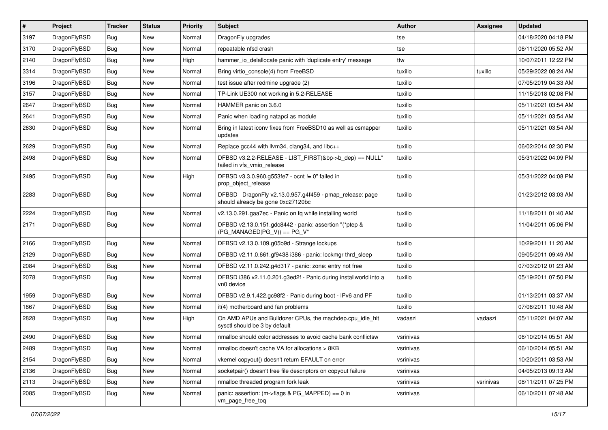| $\vert$ # | Project      | <b>Tracker</b> | <b>Status</b> | <b>Priority</b> | <b>Subject</b>                                                                               | <b>Author</b> | Assignee  | <b>Updated</b>      |
|-----------|--------------|----------------|---------------|-----------------|----------------------------------------------------------------------------------------------|---------------|-----------|---------------------|
| 3197      | DragonFlyBSD | <b>Bug</b>     | <b>New</b>    | Normal          | DragonFly upgrades                                                                           | tse           |           | 04/18/2020 04:18 PM |
| 3170      | DragonFlyBSD | <b>Bug</b>     | <b>New</b>    | Normal          | repeatable nfsd crash                                                                        | tse           |           | 06/11/2020 05:52 AM |
| 2140      | DragonFlyBSD | Bug            | <b>New</b>    | High            | hammer io delallocate panic with 'duplicate entry' message                                   | ttw           |           | 10/07/2011 12:22 PM |
| 3314      | DragonFlyBSD | Bug            | <b>New</b>    | Normal          | Bring virtio console(4) from FreeBSD                                                         | tuxillo       | tuxillo   | 05/29/2022 08:24 AM |
| 3196      | DragonFlyBSD | Bug            | <b>New</b>    | Normal          | test issue after redmine upgrade (2)                                                         | tuxillo       |           | 07/05/2019 04:33 AM |
| 3157      | DragonFlyBSD | Bug            | <b>New</b>    | Normal          | TP-Link UE300 not working in 5.2-RELEASE                                                     | tuxillo       |           | 11/15/2018 02:08 PM |
| 2647      | DragonFlyBSD | Bug            | <b>New</b>    | Normal          | HAMMER panic on 3.6.0                                                                        | tuxillo       |           | 05/11/2021 03:54 AM |
| 2641      | DragonFlyBSD | <b>Bug</b>     | <b>New</b>    | Normal          | Panic when loading natapci as module                                                         | tuxillo       |           | 05/11/2021 03:54 AM |
| 2630      | DragonFlyBSD | Bug            | New           | Normal          | Bring in latest iconv fixes from FreeBSD10 as well as csmapper<br>updates                    | tuxillo       |           | 05/11/2021 03:54 AM |
| 2629      | DragonFlyBSD | Bug            | <b>New</b>    | Normal          | Replace gcc44 with llvm34, clang34, and libc++                                               | tuxillo       |           | 06/02/2014 02:30 PM |
| 2498      | DragonFlyBSD | Bug            | New           | Normal          | DFBSD v3.2.2-RELEASE - LIST_FIRST(&bp->b_dep) == NULL"<br>failed in vfs vmio release         | tuxillo       |           | 05/31/2022 04:09 PM |
| 2495      | DragonFlyBSD | Bug            | New           | High            | DFBSD v3.3.0.960.g553fe7 - ocnt != 0" failed in<br>prop_object_release                       | tuxillo       |           | 05/31/2022 04:08 PM |
| 2283      | DragonFlyBSD | Bug            | New           | Normal          | DFBSD DragonFly v2.13.0.957.g4f459 - pmap_release: page<br>should already be gone 0xc27120bc | tuxillo       |           | 01/23/2012 03:03 AM |
| 2224      | DragonFlyBSD | Bug            | <b>New</b>    | Normal          | v2.13.0.291.gaa7ec - Panic on fq while installing world                                      | tuxillo       |           | 11/18/2011 01:40 AM |
| 2171      | DragonFlyBSD | Bug            | <b>New</b>    | Normal          | DFBSD v2.13.0.151.gdc8442 - panic: assertion "(*ptep &<br>$(PG_MANAGED PG_V)$ == PG_V"       | tuxillo       |           | 11/04/2011 05:06 PM |
| 2166      | DragonFlyBSD | Bug            | <b>New</b>    | Normal          | DFBSD v2.13.0.109.g05b9d - Strange lockups                                                   | tuxillo       |           | 10/29/2011 11:20 AM |
| 2129      | DragonFlyBSD | <b>Bug</b>     | New           | Normal          | DFBSD v2.11.0.661.gf9438 i386 - panic: lockmgr thrd_sleep                                    | tuxillo       |           | 09/05/2011 09:49 AM |
| 2084      | DragonFlyBSD | Bug            | <b>New</b>    | Normal          | DFBSD v2.11.0.242.g4d317 - panic: zone: entry not free                                       | tuxillo       |           | 07/03/2012 01:23 AM |
| 2078      | DragonFlyBSD | Bug            | New           | Normal          | DFBSD i386 v2.11.0.201.g3ed2f - Panic during installworld into a<br>vn0 device               | tuxillo       |           | 05/19/2011 07:50 PM |
| 1959      | DragonFlyBSD | Bug            | <b>New</b>    | Normal          | DFBSD v2.9.1.422.gc98f2 - Panic during boot - IPv6 and PF                                    | tuxillo       |           | 01/13/2011 03:37 AM |
| 1867      | DragonFlyBSD | <b>Bug</b>     | <b>New</b>    | Normal          | it(4) motherboard and fan problems                                                           | tuxillo       |           | 07/08/2011 10:48 AM |
| 2828      | DragonFlyBSD | Bug            | New           | High            | On AMD APUs and Bulldozer CPUs, the machdep.cpu_idle_hlt<br>sysctl should be 3 by default    | vadaszi       | vadaszi   | 05/11/2021 04:07 AM |
| 2490      | DragonFlyBSD | <b>Bug</b>     | New           | Normal          | nmalloc should color addresses to avoid cache bank conflictsw                                | vsrinivas     |           | 06/10/2014 05:51 AM |
| 2489      | DragonFlyBSD | <b>Bug</b>     | New           | Normal          | nmalloc doesn't cache VA for allocations > 8KB                                               | vsrinivas     |           | 06/10/2014 05:51 AM |
| 2154      | DragonFlyBSD | <b>Bug</b>     | <b>New</b>    | Normal          | vkernel copyout() doesn't return EFAULT on error                                             | vsrinivas     |           | 10/20/2011 03:53 AM |
| 2136      | DragonFlyBSD | <b>Bug</b>     | New           | Normal          | socketpair() doesn't free file descriptors on copyout failure                                | vsrinivas     |           | 04/05/2013 09:13 AM |
| 2113      | DragonFlyBSD | Bug            | New           | Normal          | nmalloc threaded program fork leak                                                           | vsrinivas     | vsrinivas | 08/11/2011 07:25 PM |
| 2085      | DragonFlyBSD | <b>Bug</b>     | New           | Normal          | panic: assertion: (m->flags & PG_MAPPED) == 0 in<br>vm_page_free_toq                         | vsrinivas     |           | 06/10/2011 07:48 AM |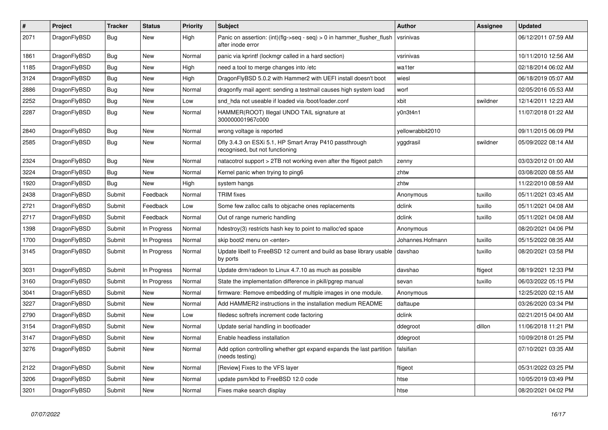| $\#$ | <b>Project</b> | <b>Tracker</b> | <b>Status</b> | <b>Priority</b> | <b>Subject</b>                                                                             | <b>Author</b>    | Assignee | <b>Updated</b>      |
|------|----------------|----------------|---------------|-----------------|--------------------------------------------------------------------------------------------|------------------|----------|---------------------|
| 2071 | DragonFlyBSD   | Bug            | <b>New</b>    | High            | Panic on assertion: (int)(flg->seq - seq) > 0 in hammer flusher flush<br>after inode error | vsrinivas        |          | 06/12/2011 07:59 AM |
| 1861 | DragonFlyBSD   | <b>Bug</b>     | <b>New</b>    | Normal          | panic via kprintf (lockmgr called in a hard section)                                       | vsrinivas        |          | 10/11/2010 12:56 AM |
| 1185 | DragonFlyBSD   | <b>Bug</b>     | New           | High            | need a tool to merge changes into /etc                                                     | wa1ter           |          | 02/18/2014 06:02 AM |
| 3124 | DragonFlyBSD   | Bug            | New           | High            | DragonFlyBSD 5.0.2 with Hammer2 with UEFI install doesn't boot                             | wiesl            |          | 06/18/2019 05:07 AM |
| 2886 | DragonFlyBSD   | Bug            | New           | Normal          | dragonfly mail agent: sending a testmail causes high system load                           | worf             |          | 02/05/2016 05:53 AM |
| 2252 | DragonFlyBSD   | Bug            | <b>New</b>    | Low             | snd hda not useable if loaded via /boot/loader.conf                                        | xbit             | swildner | 12/14/2011 12:23 AM |
| 2287 | DragonFlyBSD   | <b>Bug</b>     | New           | Normal          | HAMMER(ROOT) Illegal UNDO TAIL signature at<br>300000001967c000                            | y0n3t4n1         |          | 11/07/2018 01:22 AM |
| 2840 | DragonFlyBSD   | Bug            | <b>New</b>    | Normal          | wrong voltage is reported                                                                  | yellowrabbit2010 |          | 09/11/2015 06:09 PM |
| 2585 | DragonFlyBSD   | Bug            | <b>New</b>    | Normal          | Dfly 3.4.3 on ESXi 5.1, HP Smart Array P410 passthrough<br>recognised, but not functioning | yggdrasil        | swildner | 05/09/2022 08:14 AM |
| 2324 | DragonFlyBSD   | Bug            | <b>New</b>    | Normal          | natacotrol support > 2TB not working even after the ftigeot patch                          | zenny            |          | 03/03/2012 01:00 AM |
| 3224 | DragonFlyBSD   | Bug            | <b>New</b>    | Normal          | Kernel panic when trying to ping6                                                          | zhtw             |          | 03/08/2020 08:55 AM |
| 1920 | DragonFlyBSD   | Bug            | <b>New</b>    | High            | system hangs                                                                               | zhtw             |          | 11/22/2010 08:59 AM |
| 2438 | DragonFlyBSD   | Submit         | Feedback      | Normal          | <b>TRIM</b> fixes                                                                          | Anonymous        | tuxillo  | 05/11/2021 03:45 AM |
| 2721 | DragonFlyBSD   | Submit         | Feedback      | Low             | Some few zalloc calls to objcache ones replacements                                        | dclink           | tuxillo  | 05/11/2021 04:08 AM |
| 2717 | DragonFlyBSD   | Submit         | Feedback      | Normal          | Out of range numeric handling                                                              | dclink           | tuxillo  | 05/11/2021 04:08 AM |
| 1398 | DragonFlyBSD   | Submit         | In Progress   | Normal          | hdestroy(3) restricts hash key to point to malloc'ed space                                 | Anonymous        |          | 08/20/2021 04:06 PM |
| 1700 | DragonFlyBSD   | Submit         | In Progress   | Normal          | skip boot2 menu on <enter></enter>                                                         | Johannes.Hofmann | tuxillo  | 05/15/2022 08:35 AM |
| 3145 | DragonFlyBSD   | Submit         | In Progress   | Normal          | Update libelf to FreeBSD 12 current and build as base library usable<br>by ports           | davshao          | tuxillo  | 08/20/2021 03:58 PM |
| 3031 | DragonFlyBSD   | Submit         | In Progress   | Normal          | Update drm/radeon to Linux 4.7.10 as much as possible                                      | davshao          | ftigeot  | 08/19/2021 12:33 PM |
| 3160 | DragonFlyBSD   | Submit         | In Progress   | Normal          | State the implementation difference in pkill/pgrep manual                                  | sevan            | tuxillo  | 06/03/2022 05:15 PM |
| 3041 | DragonFlyBSD   | Submit         | New           | Normal          | firmware: Remove embedding of multiple images in one module.                               | Anonymous        |          | 12/25/2020 02:15 AM |
| 3227 | DragonFlyBSD   | Submit         | New           | Normal          | Add HAMMER2 instructions in the installation medium README                                 | daftaupe         |          | 03/26/2020 03:34 PM |
| 2790 | DragonFlyBSD   | Submit         | New           | Low             | filedesc softrefs increment code factoring                                                 | dclink           |          | 02/21/2015 04:00 AM |
| 3154 | DragonFlyBSD   | Submit         | New           | Normal          | Update serial handling in bootloader                                                       | ddegroot         | dillon   | 11/06/2018 11:21 PM |
| 3147 | DragonFlyBSD   | Submit         | New           | Normal          | Enable headless installation                                                               | ddegroot         |          | 10/09/2018 01:25 PM |
| 3276 | DragonFlyBSD   | Submit         | <b>New</b>    | Normal          | Add option controlling whether gpt expand expands the last partition<br>(needs testing)    | falsifian        |          | 07/10/2021 03:35 AM |
| 2122 | DragonFlyBSD   | Submit         | New           | Normal          | [Review] Fixes to the VFS layer                                                            | ftigeot          |          | 05/31/2022 03:25 PM |
| 3206 | DragonFlyBSD   | Submit         | New           | Normal          | update psm/kbd to FreeBSD 12.0 code                                                        | htse             |          | 10/05/2019 03:49 PM |
| 3201 | DragonFlyBSD   | Submit         | <b>New</b>    | Normal          | Fixes make search display                                                                  | htse             |          | 08/20/2021 04:02 PM |